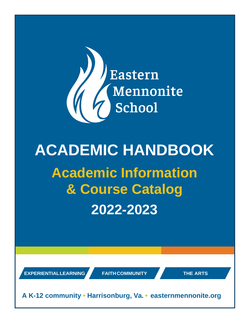

# **ACADEMIC HANDBOOK Academic Information & Course Catalog 2022-2023**

**EXPERIENTIALLEARNING FAITHCOMMUNITY THE ARTS**

**A K-12 community ▪ Harrisonburg, Va. ▪ easternmennonite.org**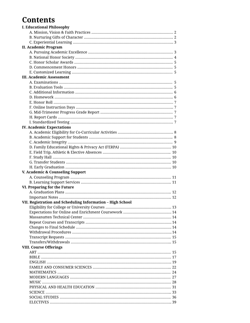# **Contents**

| <b>I. Educational Philosophy</b>                           |    |
|------------------------------------------------------------|----|
|                                                            |    |
|                                                            |    |
|                                                            |    |
| <b>II. Academic Program</b>                                |    |
|                                                            |    |
|                                                            |    |
|                                                            |    |
|                                                            |    |
|                                                            |    |
| <b>III. Academic Assessment</b>                            |    |
|                                                            |    |
|                                                            |    |
|                                                            |    |
|                                                            |    |
|                                                            |    |
|                                                            |    |
|                                                            |    |
|                                                            |    |
|                                                            |    |
| <b>IV. Academic Expectations</b>                           |    |
|                                                            |    |
|                                                            |    |
|                                                            |    |
|                                                            |    |
|                                                            |    |
|                                                            |    |
|                                                            |    |
|                                                            |    |
| V. Academic & Counseling Support                           |    |
|                                                            |    |
|                                                            |    |
| VI. Preparing for the Future                               |    |
|                                                            |    |
|                                                            |    |
| VII. Registration and Scheduling Information - High School |    |
|                                                            | 13 |
| Eligibility for College or University Courses              |    |
|                                                            |    |
|                                                            |    |
|                                                            |    |
|                                                            |    |
|                                                            |    |
|                                                            |    |
|                                                            |    |
| <b>VIII. Course Offerings</b>                              |    |
|                                                            |    |
|                                                            |    |
|                                                            |    |
|                                                            |    |
|                                                            |    |
|                                                            |    |
|                                                            |    |
|                                                            |    |
|                                                            |    |
|                                                            |    |
|                                                            |    |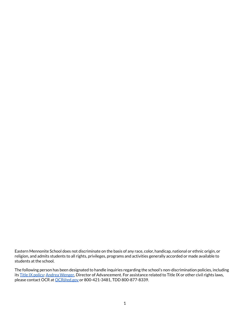Eastern Mennonite School does not discriminate on the basis of any race, color, handicap, national or ethnic origin, or religion, and admits students to all rights, privileges, programs and activities generally accorded or made available to students at the school.

The following person has been designated to handle inquiries regarding the school's non-discrimination policies, including its Title IX [policy:](https://www.easternmennonite.org/about/title-ix/) Andrea [Wenger,](https://www.easternmennonite.org/facultystaff/andrea-wenger/) Director of Advancement. For assistance related to Title IX or other civil rights laws, please contact OCR at [OCR@ed.gov](mailto:OCR@ed.gov) or 800-421-3481, TDD 800-877-8339.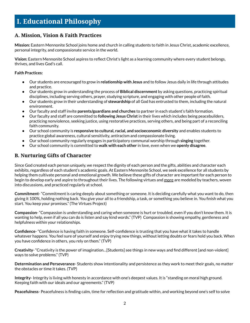# <span id="page-3-0"></span>**I. Educational Philosophy**

# **A. Mission, Vision & Faith Practices**

**Mission:** Eastern Mennonite School joins home and church in calling students to faith in Jesus Christ, academic excellence, personal integrity, and compassionate service in the world.

**Vision:** Eastern Mennonite School aspires to reflect Christ's light as a learning community where every student belongs, thrives, and lives God's call.

### **Faith Practices:**

- Our students are encouraged to grow in **relationship with Jesus** and to follow Jesus daily in life through attitudes and practice.
- Our students grow in understanding the process of **Biblical discernment** by asking questions, practicing spiritual disciplines, including serving others, prayer, studying scripture, and engaging with other people of faith.
- Our students grow in their understanding of **stewardship** of all God has entrusted to them, including the natural environment.
- Our faculty and staff invite **parents/guardians and churches** to partner in each student's faith formation.
- Our faculty and staff are committed to **following Jesus Christ**in their lives which includes being peacebuilders, practicing nonviolence, seeking justice, using restorative practices, serving others, and being part of a reconciling faith community.
- Our school community is **responsive to cultural, racial, and socioeconomic diversity** and enables students to practice global awareness, cultural sensitivity, antiracism and compassionate living.
- Our school community regularly engages in participatory communal worship through **singing** together.
- Our school community is committed to **walk with each other** in love, even when we **openly disagree**.

# **B. Nurturing Gifts of Character**

Since God created each person uniquely, we respect the dignity of each person and the gifts, abilities and character each exhibits, regardless of each student's academic goals. At Eastern Mennonite School, we seek excellence for all students by helping them cultivate personal and emotional growth. We believe these gifts of character are important for each person to begin to develop early and aspire to throughout their lives. The following virtues and [more](https://virtuesproject.com/) are modeled by teachers, woven into discussions, and practiced regularly at school.

**Commitment**- "Commitment is caring deeply about something or someone. It is deciding carefully what you want to do, then giving it 100%, holding nothing back. You give your all to a friendship, a task, or something you believe in. You finish what you start. You keep your promises." (The Virtues Project)

**Compassion**- "Compassion is understanding and caring when someone is hurt or troubled, even if you don't know them. It is wanting to help, even if all you can do is listen and say kind words." (TVP) Compassion is showing empathy, gentleness and helpfulness within your relationships.

**Confidence**- "Confidence is having faith in someone. Self-confidence is trusting that you have what it takes to handle whatever happens. You feel sure of yourself and enjoy trying new things, without letting doubts or fears hold you back. When you have confidence in others, you rely on them." (TVP)

**Creativity**- "Creativity is the power of imagination…[Students] see things in new ways and find different [and non-violent] ways to solve problems." (TVP)

**Determination and Perseverance**- Students show intentionality and persistence as they work to meet their goals, no matter the obstacles or time it takes. (TVP)

**Integrity**- Integrity is living with honesty in accordance with one's deepest values. It is "standing on moral high ground. Keeping faith with our ideals and our agreements." (TVP)

**Peacefulness**- Peacefulness is finding calm, time for reflection and gratitude within, and working beyond one's self to solve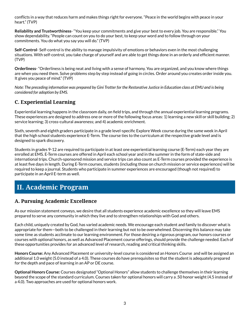<span id="page-4-0"></span>conflicts in a way that reduces harm and makes things right for everyone. "Peace in the world begins with peace in your heart." (TVP)

**Reliability and Trustworthiness**- "You keep your commitments and give your best to every job. You are responsible." You show dependability. "People can count on you to do your best, to keep your word and to follow through on your commitments. You do what you say you will do." (TVP)

**Self-Control**- Self-control is the ability to manage impulsivity of emotions or behaviors even in the most challenging situations. With self-control, you take charge of yourself and are able to get things done in an orderly and efficient manner. (TVP)

**Orderliness**- "Orderliness is being neat and living with a sense of harmony. You are organized, and you know where things are when you need them. Solve problems step by step instead of going in circles. Order around you creates order inside you. It gives you peace of mind." (TVP)

Note: The preceding information was prepared by Gini Trotter for the Restorative Justice in Education class at EMU and is being *considered for adoption by EMS.*

# **C. Experiential Learning**

Experiential learning happens in the classroom daily, on field trips, and through the annual experiential learning programs. These experiences are designed to address one or more of the following focus areas: 1) learning a new skill or skill building; 2) service learning; 3) cross-cultural awareness; and 4) academic enrichment.

Sixth, seventh and eighth graders participate in a grade level-specific Explore Week course during the same week in April that the high school students experience E-Term. The course ties to the curriculum at the respective grade level and is designed to spark discovery.

Students in grades 9-12 are required to participate in at least one experiential learning course (E-Term) each year they are enrolled at EMS. E-Term courses are offered in April each school year and in the summer in the form of state-side and international trips. Church-sponsored mission and service trips can also count as E-Term courses provided the experience is at least five days in length. During E-Term courses, students (including those on church mission or service experiences) will be required to keep a journal. Students who participate in summer experiences are encouraged (though not required) to participate in an April E-term as well.

# **II. Academic Program**

# **A. Pursuing Academic Excellence**

As our mission statement conveys, we desire that all students experience academic excellence so they will leave EMS prepared to serve any community in which they live and to strengthen relationships with God and others.

Each child, uniquely created by God, has varied academic needs. We encourage each student and family to discover what is appropriate for them—both to be challenged in their learning but not to be overwhelmed. Discerning this balance may take some time as students acclimate to our learning environment. For those desiring a rigorous program, our honors courses or courses with optional honors, as well as Advanced Placement course offerings, should provide the challenge needed. Each of these opportunities provides for an advanced level of research, reading and critical thinking skills.

**Honors Course:** Any Advanced Placement or university-level course is considered an Honors Course and will be assigned an additional 1.0 weight (5.0 instead of a 4.0). These courses do have prerequisites so that the student is adequately prepared for the depth and pace of learning in an AP or DE course.

**Optional Honors Course:** Courses designated "Optional Honors" allow students to challenge themselves in their learning beyond the scope of the standard curriculum. Courses taken for optional honors will carry a .50 honor weight (4.5 instead of a 4.0). Two approaches are used for optional honors work.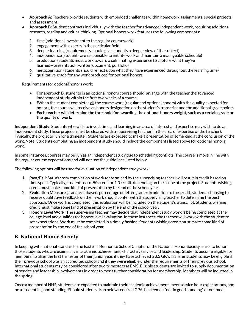- <span id="page-5-0"></span>● **Approach A:** Teachers provide students with embedded challenges within homework assignments, special projects and assessment.
- **Approach B:** Student contracts individually with the teacher for advanced independent work, requiring additional research, reading and critical thinking. Optional honors work features the following components:
	- 1. time (additional investment to the regular coursework)
	- 2. engagement with experts in the particular field
	- 3. deeper learning (requirements should give students a deeper view of the subject)
	- 4. independence (students are responsible to initiate work and maintain a manageable schedule)
	- 5. production (students must work toward a culminating experience to capture what they've learned—presentation, written document, portfolio)
	- 6. metacognition (students should reflect upon what they have experienced throughout the learning time)
	- 7. qualitative grade for any work produced for optional honors

Requirements for optional honors work:

- For approach B, students in an optional honors course should arrange with the teacher the advanced independent study within the first two weeks of a course.
- fWhen the student completes all the course work (regular and optional honors) with the quality expected for honors, the course will receive an honors designation on the student's transcript and the additional grade points.
- Each teacher will determine the threshold for awarding the optional honors weight, such as a certain grade or **the quality of work.**

**Independent Study:** Students who wish to invest time and learning in an area of interest and expertise may wish to do an independent study. These projects must be cleared with a supervising teacher (in the area of expertise of the teacher). Typically, the projects run for a trimester. Students are expected to make a presentation of some kind at the conclusion of the work. Note: Students completing an independent study should include the components listed above for optional honors work.

In some instances, courses may be run as an independent study due to scheduling conflicts. The course is more in line with the regular course expectations and will not use the guidelines listed below.

The following options will be used for evaluation of independent study work:

- 1. **Pass/Fail:** Satisfactory completion of work (determined by the supervising teacher) will result in credit based on time spent. Typically, students earn .50 credit or 1.0 credit, depending on the scope of the project. Students wishing credit must make some kind of presentation by the end of the school year.
- 2. **Evaluation Measure** (standards-based, percentage or letter grade): In addition to the credit, students choosing to receive qualitative feedback on their work should confer with the supervising teacher to determine the best approach. Once work is completed, this evaluation will be included on the student's transcript. Students wishing credit must make some kind of presentation by the end of the school year.
- 3. **Honors Level Work:** The supervising teacher may decide that independent study work is being completed at the college level and qualifies for honors level evaluation. In these instances, the teacher will work with the student to set expectations. Work must be completed in a timely fashion. Students wishing credit must make some kind of presentation by the end of the school year.

# **B. National Honor Society**

In keeping with national standards, the Eastern Mennonite School Chapter of the National Honor Society seeks to honor those students who are exemplary in academic achievement, character, service and leadership. Students become eligible for membership after the first trimester of their junior year, if they have achieved a 3.5 GPA. Transfer students may be eligible if their previous school was an accredited school and if they were eligible under the requirements of their previous school. International students may be considered after two trimesters at EMS. Eligible students are invited to supply documentation of service and leadership involvements in order to merit further consideration for membership. Members will be inducted in the spring.

Once a member of NHS, students are expected to maintain their academic achievement, meet service hour expectations, and be a student in good standing. Should students drop below required GPA, be deemed "not in good standing" or not meet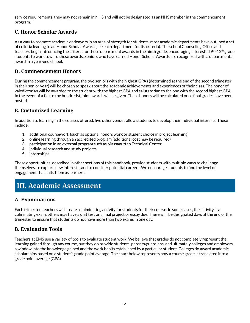<span id="page-6-0"></span>service requirements, they may not remain in NHS and will not be designated as an NHS member in the commencement program.

# **C. Honor Scholar Awards**

As a way to promote academic endeavors in an area of strength for students, most academic departments have outlined a set of criteria leading to an Honor Scholar Award (see each department for its criteria). The school Counseling Office and teachers begin introducing the criteria for these department awards in the ninth grade, encouraging interested 9<sup>th</sup>-12<sup>th</sup> grade students to work toward these awards. Seniors who have earned Honor Scholar Awards are recognized with a departmental award in a year-end chapel.

# **D. Commencement Honors**

During the commencement program, the two seniors with the highest GPAs (determined at the end of the second trimester in their senior year) will be chosen to speak about the academic achievements and experiences of their class. The honor of valedictorian will be awarded to the student with the highest GPA and salutatorian to the one with the second highest GPA. In the event of a tie (to the hundreds), joint awards will be given. These honors will be calculated once final grades have been posted.

# **E. Customized Learning**

In addition to learning in the courses offered, five other venues allow students to develop their individual interests. These include:

- 1. additional coursework (such as optional honors work or student choice in project learning)
- 2. online learning through an accredited program (additional cost may be required)
- 3. participation in an external program such as Massanutten Technical Center
- 4. individual research and study projects
- 5. internships

These opportunities, described in other sections of this handbook, provide students with multiple ways to challenge themselves, to explore new interests, and to consider potential careers. We encourage students to find the level of engagement that suits them as learners.

# **III. Academic Assessment**

# **A. Examinations**

Each trimester, teachers will create a culminating activity for students for their course. In some cases, the activity is a culminating exam, others may have a unit test or a final project or essay due. There will be designated days at the end of the trimester to ensure that students do not have more than two exams in one day.

# **B. Evaluation Tools**

Teachers at EMS use a variety of tools to evaluate student work. We believe that grades do not completely represent the learning gained through any course, but they do provide students, parents/guardians, and ultimately colleges and employers, a window into the knowledge gained and the work habits established by a particular student. Colleges do award academic scholarships based on a student's grade point average. The chart below represents how a course grade is translated into a grade point average (GPA).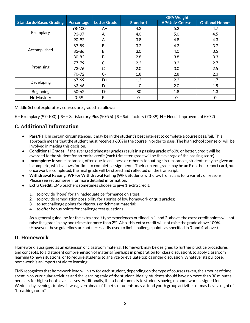<span id="page-7-0"></span>

|                                |            |                     | <b>GPA Weight</b> |                        |                        |
|--------------------------------|------------|---------------------|-------------------|------------------------|------------------------|
| <b>Standards-Based Grading</b> | Percentage | <b>Letter Grade</b> | <b>Standard</b>   | <b>AP/Univ. Course</b> | <b>Optional Honors</b> |
|                                | 98-100     | A+                  | 4.2               | 5.2                    | 4.7                    |
| Exemplary                      | 93-97      | A                   | 4.0               | 5.0                    | 4.5                    |
|                                | 90-92      | А-                  | 3.8               | 4.8                    | 4.3                    |
| Accomplished                   | 87-89      | B+                  | 3.2               | 4.2                    | 3.7                    |
|                                | 83-86      | B                   | 3.0               | 4.0                    | 3.5                    |
|                                | 80-82      | <b>B-</b>           | 2.8               | 3.8                    | 3.3                    |
| Promising                      | $77 - 79$  | $C+$                | 2.2               | 3.2                    | 2.7                    |
|                                | 73-76      |                     | 2.0               | 3.0                    | 2.5                    |
|                                | 70-72      | $C-$                | 1.8               | 2.8                    | 2.3                    |
| Developing                     | $67 - 69$  | D+                  | 1.2               | 2.2                    | 1.7                    |
|                                | 63-66      | D                   | 1.0               | 2.0                    | 1.5                    |
| <b>Beginning</b>               | $60 - 62$  | D-                  | .80               | $1.8\,$                | 1.3                    |
| No Mastery                     | $0 - 59$   | F                   | $\Omega$          | $\Omega$               | $\mathbf 0$            |

Middle School exploratory courses are graded as follows:

E = Exemplary (97-100) | S+ = Satisfactory Plus (90-96) | S = Satisfactory (73-89) N = Needs Improvement (0-72)

# **C. Additional Information**

- **Pass/Fail:** In certain circumstances, it may be in the student's best interest to complete a course pass/fail. This approach means that the student must receive a 60% in the course in order to pass. The high school counselor will be involved in making this decision.
- **Conditional Grades:** If the averaged trimester grades result in a passing grade of 60% or better, credit will be awarded to the student for an entire credit (each trimester grade will be the average of the passing score).
- **Incomplete**: In some instances, often due to an illness or other extenuating circumstances, students may be given an incomplete, which allows for time to complete assignments. Their current grade may be an F on their report card, but once work is completed, the final grade will be stored and reflected on the transcript.
- **Withdrawal Passing (WP) or Withdrawal Failing (WF):** Students withdraw from class for a variety of reasons. Please see section seven for more detailed information.
- **Extra Credit:** EMS teachers sometimes choose to give 1`extra credit:
	- 1. to provide "hope" for an inadequate performance on a test;
	- 2. to provide remediation possibility for a series of low homework or quiz grades;
	- 3. to set challenge points for rigorous enrichment material;
	- 4. to offer bonus points for challenge test questions.

As a general guideline for the extra credit type experiences outlined in 1. and 2. above, the extra credit points will not raise the grade in any one trimester more than 2%. Also, this extra credit will not raise the grade above 100%. (However, these guidelines are not necessarily used to limit challenge points as specified in 3. and 4. above.)

# **D. Homework**

Homework is assigned as an extension of classroom material. Homework may be designed to further practice procedures and concepts, to aid student comprehension of material (perhaps in preparation for class discussion), to apply classroom learning to new situations, or to require students to analyze or evaluate topics under discussion. Whatever its purpose, homework is an important aid to learning.

EMS recognizes that homework load will vary for each student, depending on the type of courses taken, the amount of time spent in co-curricular activities and the learning style of the student. Ideally, students should have no more than 30 minutes per class for high school-level classes. Additionally, the school commits to students having no homework assigned for Wednesday evenings (unless it was given ahead of time) so students may attend youth group activities or may have a night of "breathing room."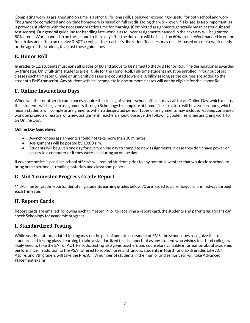<span id="page-8-0"></span>Completing work as assigned and on time is a strong life-long skill, a behavior exceedingly useful for both school and work. The grade for completed and on-time homework is based on full credit. Doing the work, even if it is late, is also important, as it provides students with the necessary practice time for learning. (Completed assignments generally mean better quiz and test scores). Our general guideline for handling late work is as follows: assignments handed in the next day will be granted 80% credit. Work handed in on the second to third day after the due date will be based on 60% credit. Work handed in on the fourth day and after can receive 0-60% credit, at the teacher's discretion. Teachers may decide, based on coursework needs or the age of the student, to adjust these guidelines.

# **E. Honor Roll**

In grades 6-12, students must earn all grades of 80 and above to be named to the A/B Honor Roll. The designation is awarded by trimester. Only full-time students are eligible for the Honor Roll. Full-time students must be enrolled in four out of six classes each trimester. Online or university classes are counted toward eligibility as long as the courses are added to the student's EMS transcript. Any student with an incomplete in one or more classes will not be eligible for the Honor Roll.

# **F. Online Instruction Days**

When weather or other circumstances require the closing of school, school officials may call for an Online Day, which means that students will be given assignments through Schoology to complete at home. The structure will be asynchronous, which means students will complete assignments within a designated period. Types of assignments may include: reading, continued work on projects or essays, or a new assignment. Teachers should observe the following guidelines when assigning work for an Online Day:

### **Online Day Guidelines:**

- Asynchronous assignments should not take more than 30 minutes.
- Assignments will be posted by 10:00 a.m.
- Students will be given one day for every online day to complete new assignments in case they don't have power or access to a computer or if they were sick during an online day.

If advance notice is possible, school officials will remind students prior to any potential weather that would close school to bring home textbooks, reading materials and classroom papers.

# **G. Mid-Trimester Progress Grade Report**

Mid-trimester grade reports, identifying students earning grades below 70 are issued to parents/guardians midway through each trimester.

# **H. Report Cards**

Report cards are emailed following each trimester. Prior to receiving a report card, the students and parents/guardians can check Schoology for academic progress.

# **I. Standardized Testing**

While yearly, state-mandated testing may not be part of annual assessment at EMS, the school does recognize the role standardized testing plays. Learning to take a standardized test is important as any student who wishes to attend college will likely need to take the SAT or ACT. Periodic testing also gives teachers and counselors valuable information about academic performance. In addition to the PSAT offered to sophomores and juniors, students in fourth, and sixth grades take ACT Aspire, and 9th graders will take the PreACT.. A number of students in their junior and senior year will take Advanced Placement exams.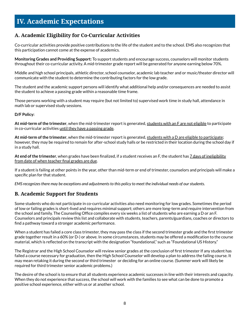# <span id="page-9-0"></span>**IV. Academic Expectations**

# **A. Academic Eligibility for Co-Curricular Activities**

Co-curricular activities provide positive contributions to the life of the student and to the school. EMS also recognizes that this participation cannot come at the expense of academics.

**Monitoring Grades and Providing Support:** To support students and encourage success, counselors will monitor students throughout their co-curricular activity. A mid-trimester grade report will be generated for anyone earning below 70%.

Middle and high school principals, athletic director, school counselor, academic lab teacher and or music/theater director will communicate with the student to determine the contributing factors for the low grade.

The student and the academic support persons will identify what additional help and/or consequences are needed to assist the student to achieve a passing grade within a reasonable time frame.

Those persons working with a student may require (but not limited to) supervised work time in study hall, attendance in math lab or supervised study sessions.

### **D/F Policy:**

**At mid-term ofthe trimester**, when the mid-trimester report is generated, students with an F are not eligible to participate in co-curricular activities until they have a passing grade.

**At mid-term ofthe trimester**, when the mid-trimester report is generated, students with a D are eligible to participate; however, they may be required to remain for after-school study halls or be restricted in their location during the school day if in a study hall.

**At end ofthe trimester**, when grades have been finalized, if a student receives an F, the student has 7 days of ineligibility from date of when teacher final grades are due.

If a student is failing at other points in the year, other than mid-term or end of trimester, counselors and principals will make a specific plan for that student.

*EMS recognizesthere may be exceptions and adjustmentsto this policy to meet the individual needs of ourstudents.*

# **B. Academic Support for Students**

Some students who do not participate in co-curricular activities also need monitoring for low grades. Sometimes the period of low or failing grades is short-lived and requires minimal support; others are more long-term and require intervention from the school and family. The Counseling Office compiles every six weeks a list of students who are earning a D or an F. Counselors and principals review this list and collaborate with students, teachers, parents/guardians, coaches or directors to find a pathway toward a stronger academic performance.

When a student has failed a core class trimester, they may pass the class if the second trimester grade and the first trimester grade together result in a 60% (or D-) or above. In some circumstances, students may be offered a modification to the course material, which is reflected on the transcript with the designation "foundational," such as "Foundational US History."

The Registrar and the High School Counselor will review senior grades at the conclusion of first trimester If any student has failed a course necessary for graduation, then the High School Counselor will develop a plan to address the failing course. It may mean retaking it during the second or third trimester or deciding for an online course. (Summer work will likely be required for third trimester senior academic problems.)

The desire of the school is to ensure that all students experience academic successes in line with their interests and capacity. When they do not experience that success, the school will work with the families to see what can be done to promote a positive school experience, either with us or at another school.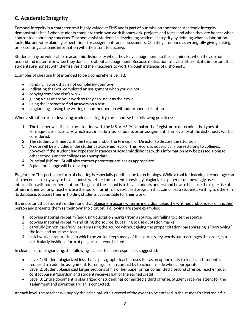# <span id="page-10-0"></span>**C. Academic Integrity**

Personal integrity is a character trait highly valued at EMS and is part of our mission statement. Academic integrity demonstrates itself when students complete their own work (homework, projects and tests) and when they are honest when confronted about any concerns. Teachers assist students in developing academic integrity by defining what collaboration looks like and/or explaining expectations for assignments and assessments. Cheating is defined as wrongfully giving, taking, or presenting academic information with the intent to deceive.

Students may be vulnerable to academic dishonesty when they leave assignments to the last minute, when they do not understand material or when they don't care about an assignment. Because motivations may be different, it's important that students are honest with themselves and their teachers to work through instances of dishonesty.

Examples of cheating (not intended to be a comprehensive list):

- handing in work that is not completely your own
- indicating that you completed an assignment when you did not
- copying someone else's work
- giving a classmate your work so they can use it as their own
- using the internet to find answers on a test
- plagiarizing using the writing of another person without proper attribution

When a situation arises involving academic integrity, the school se the following practices:

- 1. The teacher will discuss the situation with the MS or HS Principal or the Registrar to determine the types of consequences necessary, which may include a loss of points on an assignment. The severity of the dishonesty will be considered.
- 2. The student will meet with the teacher and/or the Principal or Director to discuss the situation.
- 3. A note will be included in the student's academic record. This record is not typically passed along to colleges; however, if the student had repeated instances of academic dishonesty, this information may be passed along to other schools and/or colleges as appropriate.
- 4. Principal (MS or HS) will also contact parents/guardians as appropriate.
- 5. A plan for change will be developed.

**Plagiarism:** This particular form of cheating is especially possible due to technology. While a tool for learning, technology can also become an easy way to be dishonest, whether the student knowingly plagiarizes a paper or unknowingly uses information without proper citation. The goal of the school is to have students understand how to best use the expertise of others in their writing. Teachers use the tool of Turnitin, a web-based program that compares a student's writing to others in its database, to assist them in holding students accountable for their work.

It's important that students understand that plagiarism occurs when an individual takes the writings and/or ideas of another person and presents them as their own (no citation). Following are some examples:

- 1. copying material verbatim (and using quotation marks) from a source, but failing to cite the source
- 2. copying material verbatim and citing the source, but failing to use quotation marks
- 3. carefully (or non-carefully) paraphrasing the source without giving the proper citation (paraphrasing is "borrowing" the idea and must be cited)
- 4. patchwork paraphrasing (in which the writer keeps many of the source's key words but rearranges the order) is a particularly insidious form of plagiarism—even if cited

In clear cases of plagiarizing, the following scale of teacher response is suggested:

- Level 1: Student plagiarized less than a paragraph. Teacher uses this as an opportunity to teach and student is required to redo the assignment. Parent/guardian contact by teacher is made when appropriate.
- Level 2: Student plagiarized larger sections of his or her paper or has committed a second offense. Teacher must contact parent/guardian and student receives half of the earned credit.
- Level 3: Entire document is plagiarized or student has committed a third offense. Student receives a zero for the assignment and parent/guardian is contacted.

At each level, the teacher will supply the principal with a record of the event to be entered in the student's electronic file.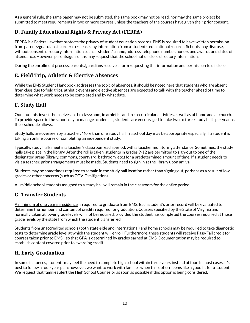<span id="page-11-0"></span>As a general rule, the same paper may not be submitted, the same book may not be read, nor may the same project be submitted to meet requirements in two or more courses unless the teachers of the courses have given their prior consent.

# **D. Family Educational Rights & Privacy Act (FERPA)**

FERPA is a Federal law that protects the privacy of student education records. EMS is required to have written permission from parents/guardians in order to release any information from a student's educational records. Schools may disclose, without consent, directory information such as student's name, address, telephone number, honors and awards and dates of attendance. However, parents/guardians may request that the school not disclose directory information.

During the enrollment process, parents/guardians receive a form requesting this information and permission to disclose.

# **E. Field Trip, Athletic & Elective Absences**

While the EMS Student Handbook addresses the topic of absences, it should be noted here that students who are absent from class due to field trips, athletic events and elective absences are expected to talk with the teacher ahead of time to determine what work needs to be completed and by what date.

# **F. Study Hall**

Our students invest themselves in the classroom, in athletics and in co-curricular activities as well as at home and at church. To provide space in the school day to manage academics, students are encouraged to take two to three study halls per year as their schedule allows.

Study halls are overseen by a teacher. More than one study hall in a school day may be appropriate especially if a student is taking an online course or completing an independent study.

Typically, study halls meet in a teacher's classroom each period, with a teacher monitoring attendance. Sometimes, the study halls take place in the library. After the roll is taken, students in grades 9-12 are permitted to sign-out to one of the designated areas (library, commons, courtyard, bathroom, etc.) for a predetermined amount of time. If a student needs to visit a teacher, prior arrangements must be made. Students need to sign in at the library upon arrival.

Students may be sometimes required to remain in the study hall location rather than signing out, perhaps as a result of low grades or other concerns (such as COVID mitigation).

All middle school students assigned to a study hall will remain in the classroom for the entire period.

# **G. Transfer Students**

A minimum of one year in residence is required to graduate from EMS. Each student's prior record will be evaluated to determine the number and content of credits required for graduation. Courses specified by the State of Virginia and normally taken at lower grade levels will not be required, provided the student has completed the courses required at those grade levels by the state from which the student transferred.

Students from unaccredited schools (both state-side and international) and home schools may be required to take diagnostic tests to determine grade level at which the student will enroll. Furthermore, these students will receive Pass/Fail credit for courses taken prior to EMS—so that GPA is determined by grades earned at EMS. Documentation may be required to establish content covered prior to awarding credit.

# **H. Early Graduation**

In some instances, students may feel the need to complete high school within three years instead of four. In most cases, it's best to follow a four-year plan; however, we want to work with families when this option seems like a good fit for a student. We request that families alert the High School Counselor as soon as possible if this option is being considered.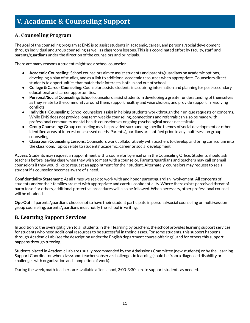# <span id="page-12-0"></span>**V. Academic & Counseling Support**

# **A. Counseling Program**

The goal of the counseling program at EMS is to assist students in academic, career, and personal/social development through individual and group counseling as well as classroom lessons. This is a coordinated effort by faculty, staff, and parents/guardians under the direction of the counselors and principals.

There are many reasons a student might see a school counselor.

- **Academic Counseling:** School counselors aim to assist students and parents/guardians on academic options, developing a plan of studies, and as a link to additional academic resources when appropriate. Counselors direct students to opportunities that match their interests, both in and out of school.
- **College & Career Counseling:** Counselor assists students in acquiring information and planning for post-secondary educational and career opportunities.
- **Personal/Social Counseling:** School counselors assist students in developing a greater understanding of themselves as they relate to the community around them, support healthy and wise choices, and provide support in resolving conflicts.
- **Individual Counseling:** School counselors assist in helping students work through their unique requests or concerns. While EMS does not provide long term weekly counseling, connections and referrals can also be made with professional community mental health counselors as ongoing psychological needs necessitate.
- **Group Counseling:** Group counseling may be provided surrounding specific themes of social development or other identified areas of interest or assessed needs. Parents/guardians are notified prior to any multi-session group counseling.
- **Classroom Counseling Lessons:** Counselors work collaboratively with teachers to develop and bring curriculum into the classroom. Topics relate to students' academic, career or social development.

**Access:** Students may request an appointment with a counselor by email or in the Counseling Office. Students should ask teachers before leaving class when they wish to meet with a counselor. Parents/guardians and teachers may call or email counselors if they would like to request an appointment for their student. Alternately, counselors may request to see a student if a counselor becomes aware of a need.

**Confidentiality Statement:** At all times we seek to work with and honor parent/guardian involvement. All concerns of students and/or their families are met with appropriate and careful confidentiality. Where there exists perceived threat of harm to self or others, additional protective procedures will also be followed. When necessary, other professional counsel will be obtained.

**Opt-Out:** If parents/guardians choose not to have their student participate in personal/social counseling or multi-session group counseling, parents/guardians must notify the school in writing.

# **B. Learning Support Services**

In addition to the oversight given to all students in their learning by teachers, the school provides learning support services for students who need additional resources to be successful in their classes. For some students, this support happens through Academic Lab (see the description under the English department course offerings), and for others this support happens through tutoring.

Students placed in Academic Lab are usually recommended by the Admissions Committee (new students) or by the Learning Support Coordinator when classroom teachers observe challenges in learning (could be from a diagnosed disability or challenges with organization and completion of work).

During the week, math teachers are available after school, 3:00-3:30 p.m. to support students as needed.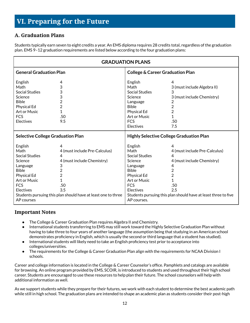# <span id="page-13-0"></span>**VI. Preparing for the Future**

# **A. Graduation Plans**

Students typically earn seven to eight credits a year. An EMS diploma requires 28 credits total, regardless of the graduation plan. EMS 9–12 graduation requirements are listed below according to the four graduation plans:

| <b>GRADUATION PLANS</b>                                                                                                                                               |                                                                                                                                                                                                    |                                                                                                                                                                        |                                                                                                                                                                                        |  |  |  |  |
|-----------------------------------------------------------------------------------------------------------------------------------------------------------------------|----------------------------------------------------------------------------------------------------------------------------------------------------------------------------------------------------|------------------------------------------------------------------------------------------------------------------------------------------------------------------------|----------------------------------------------------------------------------------------------------------------------------------------------------------------------------------------|--|--|--|--|
| <b>General Graduation Plan</b>                                                                                                                                        |                                                                                                                                                                                                    | <b>College &amp; Career Graduation Plan</b>                                                                                                                            |                                                                                                                                                                                        |  |  |  |  |
| English<br>Math<br><b>Social Studies</b><br>Science<br><b>Bible</b><br><b>Physical Ed</b><br>Art or Music<br><b>FCS</b><br><b>Electives</b>                           | 4<br>3<br>3<br>3<br>$\overline{2}$<br>$\overline{2}$<br>$\overline{1}$<br>.50<br>9.5                                                                                                               | English<br>Math<br><b>Social Studies</b><br>Science<br>Language<br><b>Bible</b><br><b>Physical Ed</b><br>Art or Music<br><b>FCS</b><br><b>Electives</b>                | 4<br>3 (must include Algebra II)<br>3<br>3 (must include Chemistry)<br>2<br>$\overline{2}$<br>$\overline{2}$<br>1<br>.50<br>7.5                                                        |  |  |  |  |
| <b>Selective College Graduation Plan</b>                                                                                                                              |                                                                                                                                                                                                    | <b>Highly Selective College Graduation Plan</b>                                                                                                                        |                                                                                                                                                                                        |  |  |  |  |
| English<br>Math<br><b>Social Studies</b><br>Science<br>Language<br><b>Bible</b><br><b>Physical Ed</b><br>Art or Music<br><b>FCS</b><br><b>Electives</b><br>AP courses | 4<br>4 (must include Pre-Calculus)<br>4<br>4 (must include Chemistry)<br>3<br>$\overline{2}$<br>$\overline{2}$<br>1<br>.50<br>3.5<br>Students pursuing this plan should have at least one to three | English<br>Math<br><b>Social Studies</b><br>Science<br>Language<br><b>Bible</b><br><b>Physical Ed</b><br>Art or Music<br><b>FCS</b><br><b>Electives</b><br>AP courses. | 4<br>4 (must include Pre-Calculus)<br>4<br>4 (must include Chemistry)<br>4<br>$\overline{2}$<br>2<br>1<br>.50<br>2.5<br>Students pursuing this plan should have at least three to five |  |  |  |  |

# **Important Notes**

- The College & Career Graduation Plan requires Algebra II and Chemistry.
- International students transferring to EMS may still work toward the Highly Selective Graduation Plan without having to take three to four years of another language (the assumption being that studying in an American school demonstrates proficiency in English, which is usually the second or third language that a student has studied).
- International students will likely need to take an English proficiency test prior to acceptance into colleges/universities.
- The requirements for the College & Career Graduation Plan align with the requirements for NCAA Division I schools.

Career and college information is located in the College & Career Counselor's office. Pamphlets and catalogs are available for browsing. An online program provided by EMS, SCOIR, is introduced to students and used throughout their high school career. Students are encouraged to use these resources to help plan their future. The school counselors will help with additional information as well.

As we support students while they prepare for their futures, we work with each student to determine the best academic path while still in high school. The graduation plans are intended to shape an academic plan as students consider their post-high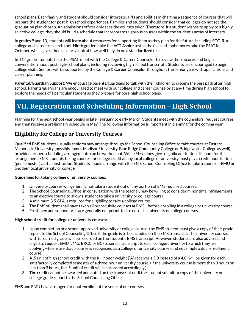<span id="page-14-0"></span>school plans. Each family and student should consider interests, gifts and abilities in charting a sequence of courses that will prepare the student for post-high school experiences. Families and students should consider that colleges do not see the graduation plan chosen. An admissions officer only sees the courses taken. Therefore, if a student wishes to apply to a highly selective college, they should build a schedule that incorporates rigorous courses within the student's areas of interests.

In grades 9 and 10, students will learn about resources for supporting them as they plan for the future, including SCOIR, a college and career research tool. Ninth graders take the ACT Aspire test in the fall, and sophomores take the PSAT in October, which gives them an early look at how well they do on a standardized test.

In 11<sup>th</sup> grade students take the PSAT, meet with the College & Career Counselor to review those scores and begin a conversation about post high-school plans, including reviewing high school transcripts. Students are encouraged to begin college visits. Seniors will be supported by the College & Career Counselor throughout the senior year with applications and career planning.

**Parental/Guardian Support:** We encourage parents/guardians to talk with their children to discern the best path after high school. Parents/guardians are encouraged to meet with our college and career counselor at any time during high school to explore the needs of a particular student as they prepare for post-high school plans.

# **VII. Registration and Scheduling Information – High School**

Planning for the next school year begins in late February to early March. Students meet with the counselors, request courses, and then receive a preliminary schedule in May. The following information is important in planning for the coming year.

# **Eligibility for College or University Courses**

Qualified EMS students (usually seniors) may arrange through the School Counseling Office to take courses at Eastern Mennonite University (possibly James Madison University, Blue Ridge Community College or Bridgewater College as well), provided proper scheduling arrangements can be worked out. While EMU does give a significant tuition discount for this arrangement, EMS students taking courses for college credit at any local college or university must pay a credit hour tuition (per semester) at that institution. Students should arrange with the EMS School Counseling Office to take a course at EMU or another local university or college.

### **Guidelines for taking college or university courses:**

- 1. University courses will generally not take a student out of any portion of EMS required courses.
- 2. The School Counseling Office, in consultation with the teacher, may be willing to consider minor time infringements to an elective course to allow a student to take a university or college course.
- 3. A minimum 3.5 GPA is required for eligibility to take a college course.
- 4. The EMS student shall have taken all prerequisite courses at EMS—before enrolling in a college or university course.
- 5. Freshmen and sophomores are generally not permitted to enroll in university or college courses.

### **High school credit for college or university courses:**

- 1. Upon completion of a school-approved university or college course, the EMS student must give a copy of their grade report to the School Counseling Office if the grade is to be included on the EMS transcript. The university course, with its earned grade, will be recorded on the student's EMS transcript. However, students are also advised and urged to request EMU (JMU, BRCC or BC) to send a transcript to each college/university to which they are applying—to ensure that a course is recognized as a college or university course (and not simply a dual enrollment course).
- 2. A .5 unit of high school credit with the <u>full honor weight</u> ("A" receives a 5.0 instead of a 4.0) will be given for each satisfactorily completed semester of a three-hour university course. (If the university course is more than 3 hours or less than 3 hours, the .5 unit of credit will be prorated accordingly.)
- 3. The credit cannot be awarded and noted on the transcript until the student submits a copy of the university or college grade report to the School Counseling Office.

EMS and EMU have arranged for dual enrollment for some of our courses.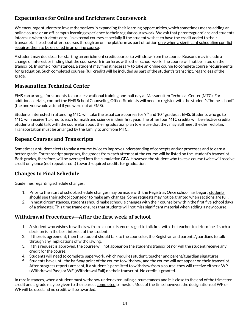# <span id="page-15-0"></span>**Expectations for Online and Enrichment Coursework**

We encourage students to invest themselves in expanding their learning opportunities, which sometimes means adding an online course or an off-campus learning experience to their regular coursework. We ask that parents/guardians and students inform us when students enroll in external courses especially if the student wishes to have the credit added to their transcript. The school offers courses through an online platform as part of tuition only when a significant scheduling conflict requires them to be enrolled in an online course.

A student may decide, after starting an enrichment credit course, to withdraw from the course. Reasons may include a change of interest or finding that the coursework interferes with other school work. The course will not be listed on the transcript. In some circumstances, a student may find it necessary to take an online course to complete course requirements for graduation. Such completed courses (full credit) will be included as part of the student's transcript, regardless of the grade.

# **Massanutten Technical Center**

EMS can arrange for students to pursue vocational training one-half day at Massanutten Technical Center (MTC). For additional details, contact the EMS School Counseling Office. Students will need to register with the student's "home school" (the one you would attend if you were not at EMS).

Students interested in attending MTC will take the usual core courses for 9<sup>th</sup> and  $10^{\rm th}$  grades at EMS. Students who go to MTC will receive 1.5 credits each for math and science in their first year. The other four MTC credits will be elective credits. Students should talk with the counselor about their graduation plan to ensure that they may still meet the desired plan. Transportation must be arranged by the family to and from MTC.

# **Repeat Courses and Transcripts**

Sometimes a student elects to take a course twice to improve understanding of concepts and/or processes and to earn a better grade. For transcript purposes, the grades from each attempt at the course will be listed on the student's transcript. Both grades, therefore, will be averaged into the cumulative GPA. However, the student who takes a course twice will receive credit only once (not repeat credit) toward required credits for graduation.

# **Changes to Final Schedule**

Guidelines regarding schedule changes:

- 1. Prior to the start of school, schedule changes may be made with the Registrar. Once school has begun, students should see their school counselor to make any changes. Some requests may not be granted when sections are full.
- 2. In most circumstances, students should make schedule changes with their counselor within the first five school days of a trimester. This time frame ensures that students will not miss significant material when adding a new course.

# **Withdrawal Procedures—After the first week of school**

- 1. A student who wishes to withdraw from a course is encouraged to talk first with the teacher to determine if such a decision is in the best interest of the student.
- 2. If there is agreement, then the student should talk to the counselor, the Registrar, and parents/guardians to talk through any implications of withdrawing.
- 3. If this request is approved, the course will not appear on the student's transcript nor will the student receive any credit for the course.
- 4. Students will need to complete paperwork, which requires student, teacher and parent/guardian signatures.
- 5. Students have until the halfway point of the course to withdraw, and the course will not appear on their transcript. After progress reports are sent, if a student is permitted to withdraw from a course, they will receive either a WP (Withdrawal Pass) or WF (Withdrawal Fail) on their transcript. No credit is granted.

In rare instances, when a student must withdraw under extenuating circumstances and it is close to the end of the trimester, credit and a grade may be given to the nearest completed trimester. Most of the time, however, the designations of WP or WF will be used and no credit will be awarded.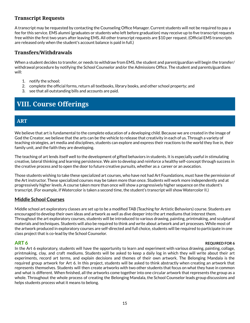# <span id="page-16-0"></span>**Transcript Requests**

A transcript may be requested by contacting the Counseling Office Manager. Current students will not be required to pay a fee for this service. EMS alumni (graduates or students who left before graduation) may receive up to five transcript requests free within the first two years after leaving EMS. All other transcript requests are \$10 per request. (Official EMS transcripts are released only when the student's account balance is paid in full.)

# **Transfers/Withdrawals**

When a student decides to transfer, or needs to withdraw from EMS, the student and parent/guardian will begin the transfer/ withdrawal procedure by notifying the School Counselor and/or the Admissions Office. The student and parents/guardians will:

- 1. notify the school;
- 2. complete the official forms, return all textbooks, library books, and other school property; and
- 3. see that all outstanding bills and accounts are paid.

# **VIII. Course Offerings**

# **ART**

We believe that art is fundamental to the complete education of a developing child. Because we are created in the image of God the Creator, we believe that the arts can be the vehicle to release that creativity in each of us. Through a variety of teaching strategies, art media and disciplines, students can explore and express their reactions to the world they live in, their family unit, and the faith they are developing.

The teaching of art lends itself well to the development of gifted behaviors in students. It is especially useful in stimulating creative, lateral thinking and learning persistence. We aim to develop and reinforce a healthy self-concept through success in the creative process and to open the door to future creative pursuits, whether as a career or an avocation.

Those students wishing to take these specialized art courses, who have not had Art Foundations, must have the permission of the Art instructor. These specialized courses may be taken more than once. Students will work more independently and at progressively higher levels. A course taken more than once will show a progressively higher sequence on the student's transcript. (For example, if Watercolor is taken a second time, the student's transcript will show Watercolor II.)

# **Middle School Courses**

Middle school art exploratory classes are set up to be a modified TAB (Teaching for Artistic Behaviors) course. Students are encouraged to develop their own ideas and artwork as well as dive deeper into the art mediums that interest them. Throughout the art exploratory courses, students will be introduced to various drawing, painting, printmaking, and sculptural materials and techniques. Students will also be required to think and write about artwork and art processes. While most of the artwork produced in exploratory courses are self-directed and full choice, students will be required to participate in one class project that is co-lead by the School Counselor.

### **ART 6 REQUIRED FOR 6 REQUIRED FOR 6 REQUIRED FOR 6**

In the Art 6 exploratory, students will have the opportunity to learn and experiment with various drawing, painting, collage, printmaking, clay, and craft mediums. Students will be asked to keep a daily log in which they will write about their art experiments, record art terms, and explain decisions and themes of their own artwork. The Belonging Mandala is the required group artwork for Art 6. In this project, students will be asked to think abstractly when creating an artwork that represents themselves. Students will then create artworks with two other students that focus on what they have in common and what is different. When finished, all the artworks come together into one circular artwork that represents the group as a whole. Throughout the whole process of creating the Belonging Mandala, the School Counselor leads group discussions and helps students process what it means to belong.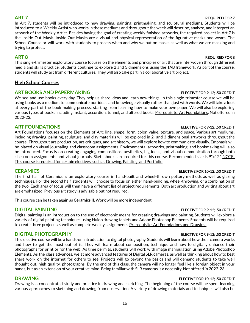In Art 7, students will be introduced to new drawing, painting, printmaking, and sculptural mediums. Students will be introduced to a Weekly Artist who works in these mediums and throughout the week will describe, analyze, and interpret an artwork of the Weekly Artist. Besides having the goal of creating weekly finished artworks, the required project in Art 7 is the Inside-Out Mask. Inside-Out Masks are a visual and physical representation of the figurative masks one wears. The School Counselor will work with students to process when and why we put on masks as well as what we are masking and trying to protect.

## **ART 8 REQUIRED FOR 8**

This single-trimester exploratory course focuses on the elements and principles of art that are interwoven through different media and skills practice. Students continue to explore 2 and 3 dimensions using the TAB framework. As part of the course, students will study art from different cultures. They will also take part in a collaborative art project.

# **High School Courses**

### **ART BOOKS AND PAPERMAKING ELECTIVE FOR 9-12; .50 CREDIT**

We see and use books every day. They help us share ideas and learn new things. In this single-trimester course we will be using books as a medium to communicate our ideas and knowledge visually rather than just with words. We will take a look at every part of the book making process, starting from learning how to make your own paper. We will also be exploring various types of books including instant, accordion, tunnel, and altered books. Prerequisite: Art Foundations. Not offered in 2022-23.

# **ART FOUNDATIONS ELECTIVE FOR 9-12; .50 CREDIT**

Art Foundations focuses on the Elements of Art: line, shape, form, color, value, texture, and space. Various art mediums, including drawing, painting, sculpture, and clay materials will be explored in 2- and 3-dimensional artworks throughout the course. Throughout art production, art critiques, and art history, we will explore how to communicate visually. Emphasis will be placed on visual journaling and classroom assignments. Environmental artworks, printmaking, and bookmaking will also be introduced. Focus is on creating engaging compositions, aesthetics, big ideas, and visual communication through both classroom assignments and visual journals. Sketchbooks are required for this course. Recommended size is 9"x12". NOTE: This course is required for certain electives, such as Drawing, Painting, and Portfolio.

### **CERAMICS ELECTIVE FOR 10-12; .50 CREDIT**

The first half of Ceramics is an exploratory course in hand-built and wheel-thrown pottery methods as well as glazing techniques. For the second half, students will choose to focus on either hand-building, wheel-throwing, or a combination of the two. Each area of focus will then have a different list of project requirements. Both art production and writing about art are emphasized. Previous art study is advisable but not required.

This course can be taken again as **Ceramics II**. Work will be more independent.

Digital painting is an introduction to the use of electronic means for creating drawings and painting. Students will explore a variety of digital painting techniques using Huion drawing tablets and Adobe Photoshop Elements. Students will be required to create three projects as well as complete weekly assignments. Prerequisite: Art Foundations and Drawing.

### **DIGITAL PHOTOGRAPHY ELECTIVE FOR 9-12; .50 CREDIT**

This elective course will be a hands-on introduction to digital photography. Students will learn about how their camera works and how to get the most out of it. They will learn about composition, technique and how to digitally enhance their photographs for print or for the web. As time permits, students will work with image manipulation using Adobe Photoshop Elements. As the class advances, we at more advanced features of Digital SLR cameras, as well as thinking about how to best share work on the internet for others to see. Projects will go beyond the basics and will demand students to take well thought out, high quality, photographs. By the end of this class, the camera will no longer feel like a foreign object in your hands, but as an extension of your creative mind. Being familiar with SLR cameras is a necessity. Not offered in 2022-23.

Drawing is a concentrated study and practice in drawing and sketching. The beginning of the course will be spent learning various approaches to sketching and drawing from observation. A variety of drawing materials and techniques will also be

16

# **ART 7 REQUIRED FOR 7**

# **DIGITAL PAINTING ELECTIVE FOR 9-12; .50 CREDIT**

### **DRAWING ELECTIVE FOR 10-12; .50 CREDIT**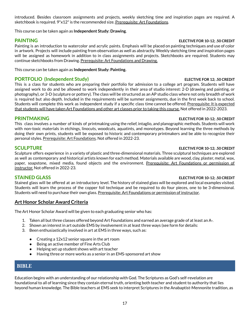<span id="page-18-0"></span>introduced. Besides classroom assignments and projects, weekly sketching time and inspiration pages are required. A sketchbook is required. 9"x12" is the recommended size. Prerequisite: Art Foundations.

This course can be taken again as **Independent Study: Drawing**.

Painting is an introduction to watercolor and acrylic paints. Emphasis will be placed on painting techniques and use of color in artwork. Projects will include painting from observation as well as abstractly. Weekly sketching time and inspiration pages will be assigned as homework in addition to in class assignments and projects. Sketchbooks are required. Students may continue sketchbooks from Drawing. Prerequisite: Art Foundations and Drawing.

This course can be taken again as **Independent Study: Painting.**

# **PORTFOLIO (Independent Study) ELECTIVE FOR 12; .50 CREDIT**

This is a class for students who are preparing their portfolio for admission to a college art program. Students will have assigned work to do and be allowed to work independently in their area of studio interest: 2-D (drawing and painting, or photography), or 3-D (sculpture or pottery). The class will be structured as an AP studio class where not only breadth of work is required but also depth. Included in the requirements will be summer assignments, due in the first week back to school. Students will complete this work as independent study if a specific class time cannot be offered. Prerequisite: It is expected that students will have taken Art Foundations and other art classes prior to taking this course. Not offered in 2022-2023.

### **PRINTMAKING ELECTIVE FOR 10-12; .50 CREDIT**

This class involves a number of kinds of printmaking using the relief, intaglio, and planographic methods. Students will work with non-toxic materials in etchings, linocuts, woodcuts, aquatints, and monotypes. Beyond learning the three methods by doing their own prints, students will be exposed to historic and contemporary printmakers and be able to recognize their personal styles. Prerequisite: Art Foundations. Not offered in 2022-23.

Sculpture offers experience in a variety of plastic and three-dimensional materials. Three sculptural techniques are explored as well as contemporary and historical artists known for each method. Materials available are wood, clay, plaster, metal, wax, paper, soapstone, mixed media, found objects and the environment. Prerequisite: Art Foundations or permission of instructor. Not offered in 2022-23.

Stained glass will be offered at an introductory level. The history of stained glass will be explored and local examples visited. Students will learn the process of the copper foil technique and be required to do four pieces, one to be 3-dimensional. Students will need to purchase their own glass. Prerequisite: Art Foundations or permission of instructor.

# **Art Honor Scholar Award Criteria**

The Art Honor Scholar Award will be given to each graduating senior who has:

- 1. Taken all but three classes offered beyond Art Foundations and earned an average grade of at least an A-.
- 2. Shown an interest in art outside EMS by involvement in at least three ways (see form for details:
- 3. Been enthusiastically involved in art at EMS in three ways, such as:
	- Creating a 12x12 senior square in the art room
	- Being an active member of Fine Arts Club
	- Helping set up student shows with art teacher
	- Having three or more works as a senior in an EMS-sponsored art show

# **BIBLE**

Education begins with an understanding of our relationship with God. The Scriptures as God's self-revelation are foundational to all of learning since they contain eternal truth, orienting both teacher and student to authority that lies beyond human knowledge. The Bible teachers at EMS seek to interpret Scriptures in the Anabaptist-Mennonite tradition, as

### **PAINTING ELECTIVE FOR 10-12; .50 CREDIT**

### **SCULPTURE ELECTIVE FOR 10-12; .50 CREDIT**

### **STAINED GLASS ELECTIVE FOR 10-12; .50 CREDIT**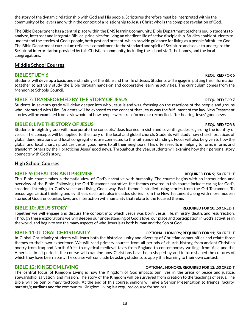18

the story of the dynamic relationship with God and His people. Scriptures therefore must be interpreted within the community of believers and within the context of a relationship to Jesus Christ who is the complete revelation of God.

The Bible Department has a central place within the EMS learning community. Bible Department teachers equip students to analyze, interpret and integrate Biblical principles for living an obedient life of active discipleship. Studies enable students to understand the stories of God's people, both past and present, which provide guidance for living as a people faithful to God. The Bible Department curriculum reflects a commitment to the standard and spirit of Scripture and seeks to undergird the Scriptural interpretation provided by this Christian community, including the school staff, the homes, and the local congregations.

# **Middle School Courses**

# **BIBLE STUDY 6 REQUIRED FOR 6**

Students will develop a basic understanding of the Bible and the life of Jesus. Students will engage in putting this information together to actively study the Bible through hands-on and cooperative learning activities. The curriculum comes from the Mennonite Schools Council.

# **BIBLE 7: TRANSFORMED BY THE STORY OF JESUS REQUIRED FOR 7**

Students in seventh grade will delve deeper into who Jesus is and was, focusing on the reactions of the people and groups who interacted with Him. Students will be exposed to the concept that Jesus was the fulfillment of the law. New Testament stories will be examined from a viewpoint of how people were transformed or reconciled after hearing Jesus' good news.

# **BIBLE 8: LIVE THE STORY OF JESUS REQUIRED FOR 8**

Students in eighth grade will incorporate the concepts/ideas learned in sixth and seventh grades regarding the identity of Jesus. The concepts will be applied to the story of the local and global church. Students will study how church practices of global denominations and local congregations are connected to the faith understandings. Focus will also be given to how the global and local church practices Jesus' good news to all their neighbors. This often results in helping to form, inform, and transform others by their practicing Jesus' good news. Throughout the year, students will examine how their personal story connects with God's story.

# **High School Courses**

# **BIBLE 9: CREATION AND PROMISE REQUIRED FOR 9; .50 CREDIT**

This Bible course takes a thematic view of God's narrative with humanity. The course begins with an introduction and overview of the Bible. Following the Old Testament narrative, the themes covered in this course include: caring for God's creation; listening to God's voice; and living God's way. Each theme is studied using stories from the Old Testament. To encourage critical thinking and synthesis each unit also includes stories from the New Testament along with more modern stories of God's encounter, love, and interaction with humanity that relate to the focused theme.

# **BIBLE 10: JESUS STORY REQUIRED FOR 10; .50 CREDIT**

Together we will engage and discuss the context into which Jesus was born, Jesus' life, ministry, death, and resurrection. Through these explorations we will deepen our understanding of God's love, our place and participation in God's activities in the world, and begin to see the many aspects of who Jesus is as both human and the Son of God.

# **BIBLE 11: GLOBAL CHRISTIANITY OPTIONAL HONORS; REQUIRED FOR 11; .50 CREDIT**

In Global Christianity students will learn both the historical unity and diversity of Christian communities and relate those themes to their own experience. We will read primary sources from all periods of church history, from ancient Christian poetry from Iraq and North Africa to mystical medieval texts from England to contemporary writings from Asia and the Americas. In all periods, the course will examine how Christians have been shaped by and in turn shaped the cultures of which they have been a part. The course will conclude by asking students to apply this learning to their own context.

# **BIBLE 12: KINGDOM LIVING OPTIONAL HONORS; REQUIRED FOR 12; .50 CREDIT**

The central focus of Kingdom Living is how the Kingdom of God impacts our lives in the areas of peace and justice, stewardship, salvation, and mission. The story of the Kingdom will be surveyed from creation to the teachings of Jesus. The Bible will be our primary textbook. At the end of this course, seniors will give a Senior Presentation to friends, faculty, parents/guardians and the community. Kingdom Living is a required course for seniors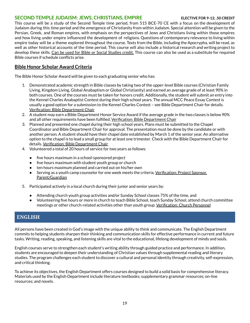### <span id="page-20-0"></span>**SECOND TEMPLE JUDAISM: JEWS, CHRISTIANS, EMPIRE ELECTIVE FOR 9-12; .50 CREDIT**

This course will be a study of the Second Temple time period, from 515 BCE-70 CE with a focus on the development of Judaism during this time period and the emergence of Christianity from within Judaism. Special attention will be given to the Persian, Greek, and Roman empires, with emphasis on the perspectives of Jews and Christians living within those empires and how living under empire influenced the development of religions. Questions of contemporary relevance to living within empire today will be a theme explored throughout the course. Texts from the Bible, including the Apocrypha, will be read, as well as other historical accounts of the time period. This course will also include a historical research and writing project to develop these skills. Can be used for Bible or Social Studies credit. This course can also be used as a substitute for required Bible courses if schedule conflicts arise.

# **Bible Honor Scholar Award Criteria**

The Bible Honor Scholar Award will be given to each graduating senior who has:

- 1. Demonstrated academic strength in Bible classes by taking two of the upper-level Bible courses (Christian Family Living, Kingdom Living, Global Anabaptism or Global Christianity) and earned an average grade of at least 90% in both courses. One of the courses must be taken for honors credit. Additionally, the student will submit an entry into the Kennel Charles Anabaptist Contest during their high school years. The annual MCC Peace Essay Contest is usually a good option for a submission to the Kennel Charles Contest – see Bible Department Chair for details. Verification: Bible Department Chair
- 2. A student may earn a Bible Department Honor Service Award if the average grade in the two classes is below 90% and all other requirements have been fulfilled. Verification: Bible Department Chair
- 3. Planned and presented one chapel during their high school years. Plans must be submitted to the Chapel Coordinator and Bible Department Chair for approval. The presentation must be done by the candidate or with another person. A student should have their chapel date established by March 1 of the senior year. An alternative option to the chapel is to lead a small group for at least one trimester. Check with the Bible Department Chair for details. Verification: Bible Department Chair
- 4. Volunteered a total of 20 hours of service for two years as follows:
	- five hours maximum in a school-sponsored project
	- five hours maximum with student youth group or church
	- ten hours maximum planned and carried out on his/her own
	- Serving as a youth camp counselor for one week meets the criteria. Verification: Project Sponsor, Parent/Guardian
- 5. Participated actively in a local church during their junior and senior years by:
	- Attending church youth group activities and/or Sunday School classes 75% of the time, and
	- Volunteering five hours or more in church to teach Bible School, teach Sunday School, attend church committee meetings or other church-related activities other than youth group. <u>Verification: Church Personnel</u>

# **ENGLISH**

All persons have been created in God's image with the unique ability to think and communicate. The English Department commits to helping students sharpen their thinking and communication skills for effective performance in current and future tasks. Writing, reading, speaking, and listening skills are vital to the educational, lifelong development of minds and souls.

English courses serve to strengthen each student's writing ability through guided practice and performance. In addition, students are encouraged to deepen their understanding of Christian values through supplemental reading and literary studies. The program challenges each student to discover a cultural and personal identity through creativity, self-expression, and critical thinking.

To achieve its objectives, the English Department offers courses designed to build a solid basis for comprehensive literacy. Materials used by the English Department include literature textbooks; supplementary grammar resources; on-line resources; and novels.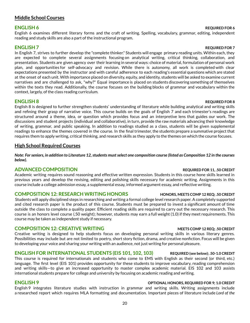# **Middle School Courses**

English 6 examines different literary forms and the craft of writing. Spelling, vocabulary, grammar, editing, independent reading and study skills are also a part of the instructional program.

### **ENGLISH 7 REQUIRED FOR 7**

In English 7, strives to further develop the "complete thinker." Students will engage primary reading units. Within each, they are expected to complete several assignments focusing on analytical writing, critical thinking, collaboration, and presentation. Students are given agency over their learning in several ways: choice of material, formulation of personal work plan, and opportunities for self-advocacy and revision. While there is autonomy, all work is completed with clear expectations presented by the instructor and with careful adherence to each reading's essential questions which are stated at the onset of each unit. With importance placed on diversity, equity, and identity, students will be asked to examine current narratives and are challenged to ask, "why?" Equal importance is placed on students discovering something of themselves within the texts they read. Additionally, the course focuses on the building blocks of grammar and vocabulary within the context, largely, of the class reading curriculum.

English 8 is designed to further strengthen students' understanding of literature while building analytical and writing skills and refining their grasp of narrative voice. This course builds on the goals of English 7 and each trimester's readings are structured around a theme, idea, or question which provides focus and an interpretive lens that guides our work. The discussions and student projects (individual and collaborative), in turn, provide the raw materials advancing their knowledge of writing, grammar, and public speaking. In addition to readings studied as a class, students will be given supplemental readings to enhance the themes covered in the course. In the final trimester, the students prepare a summative project that requires them to apply writing, critical thinking, and research skills as they apply to the themes on which the course focuses.

### **High School Required Courses**

Note: For seniors, in addition to Literature 12, students must select one composition course (listed as Composition 12 in the courses *below).*

### **ADVANCED COMPOSITION REQUIRED FOR 11, .50 CREDIT**

Academic writing requires sound reasoning and effective written expression. Students in this course hone skills learned in previous years and develop the revising, editing and polishing skills necessary for academic writing. Assignments in this course include a college admission essay, a supplemental essay, informed argument essay, and reflective writing.

### **COMPOSITION 12: RESEARCH WRITING HONORS HONORS, MEETS COMP 12 REQ; .50 CREDIT**

Students will apply disciplined steps in researching and writing a formal college level research paper. A completely supported and cited research paper is the product of this course. Students must be prepared to invest a significant amount of time outside the class to complete a quality paper. Efficient reading skills are required to carry out the necessary research. This course is an honors level course (.50 weight); however, students may earn a full weight (1.0) if they meet requirements. This course may be taken as independent study if necessary.

### **COMPOSITION 12: CREATIVE WRITING MEETS COMP 12 REQ; .50 CREDIT**

Creative writing is designed to help students focus on developing personal writing skills in various literary genres. Possibilities may include but are not limited to poetry, short story fiction, drama, and creative nonfiction. Focus will be given to developing your voice and sharing your writing with an audience, not just writing for personal pleasure.

### **ENGLISH FOR INTERNATIONAL STUDENTS (EIS 101, 102, 103) REQUIRED (see below); .50-1.0 CREDIT**

This course is required for internationals and students who come to EMS with English as their second (or third, etc.) language. The first level (EIS 101) provides opportunity for these students to improve vocabulary, reading comprehension and writing skills—to give an increased opportunity to master complex academic material. EIS 102 and 103 assists international students prepare for college and university by focusing on academic reading and writing.

### **ENGLISH 9 OPTIONAL HONORS, REQUIRED FOR 9; 1.0 CREDIT**

English 9 integrates literature studies with instruction in grammar and writing skills. Writing assignments include a researched report which requires MLA formatting and documentation. Important pieces of literature include *Lord of the*

### **ENGLISH 6 REQUIRED FOR 6**

### **ENGLISH 8 REQUIRED FOR 8**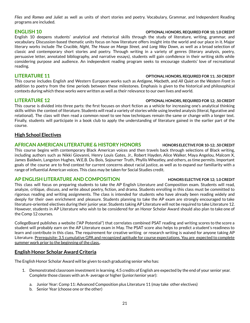*Flies* and *Romeo and Juliet* as well as units of short stories and poetry. Vocabulary, Grammar, and Independent Reading programs are included.

### **ENGLISH 10 OPTIONAL HONORS, REQUIRED FOR 10; 1.0 CREDIT**

English 10 deepens students' analytical and rhetorical skills through the study of literature, writing, grammar, and vocabulary. Discussion-based thematic units focus on how literature offers insight into the world and our place in it. Major literary works include *The Crucible*, *Night*, *The House on Mango Street*, and *Long Way Down*, as well as a broad selection of classic and contemporary short stories and poetry. Through writing in a variety of genres (literary analysis, poetry, persuasive letter, annotated bibliography, and narrative essays), students will gain confidence in their writing skills while considering purpose and audience. An independent reading program seeks to encourage students' love of recreational reading.

### **LITERATURE 11 OPTIONAL HONORS, REQUIRED FOR 11; .50 CREDIT**

This course includes English and Western European works such as *Antigone*, *Macbeth*, and *All Quiet on the Western Front* in addition to poetry from the time periods between these milestones. Emphasis is given to the historical and philosophical contexts during which these works were written as well as their relevance to our own lives and world.

This course is divided into three parts: the first focuses on short fiction as a vehicle for increasing one's analytical thinking skills within the context of literature. Students will read a variety of stories while using leveled analysis (literal, figurative and relational). The class will then read a common novel to see how techniques remain the same or change with a longer text. Finally, students will participate in a book club to apply the understanding of literature gained in the earlier part of the course.

# **High School Electives**

### **AFRICAN AMERICAN LITERATURE & HISTORY HONORS HONORS ELECTIVE FOR 10-12; .50 CREDIT**

This course begins with contemporary Black American voices and then travels back through selections of Black writing, including authors such as Nikki Giovanni, Henry Louis Gates, Jr., Robert Hayden, Alice Walker, Maya Angelou, Malcom X, James Baldwin, Langston Hughes, W.E.B. Du Bois, Sojourner Truth, Phyllis Wheatley, and others, as time permits. Important goals of the course are to find context for current concerns about racial justice, as well as to expand our familiarity with a range of influential American voices. This class may be taken for Social Studies credit.

### **AP ENGLISH LITERATURE AND COMPOSITION HONORS ELECTIVE FOR 12; 1.0 CREDIT**

This class will focus on preparing students to take the AP English Literature and Composition exam. Students will read, analyze, critique, discuss, and write about poetry, fiction, and drama. Students enrolling in this class must be committed to rigorous reading and writing assignments. The class is intended for students who have already been reading widely and deeply for their own enrichment and pleasure. Students planning to take the AP exam are strongly encouraged to take literature-oriented electives during their junior year. Students taking AP Literature will not be required to take Literature 12. However, students in AP Literature who wish to be considered for an Honor Scholar Award should also plan to take one of the Comp 12 courses.

CollegeBoard publishes a website ("AP Potential") that correlates combined PSAT reading and writing scores to the score a student will probably earn on the AP Literature exam in May. The PSAT score also helps to predict a student's readiness to learn and contribute in this class. The requirement for creative writing or research writing is waived for anyone taking AP Literature. Prerequisite: 3.5 cumulative GPA and recognized aptitude for course expectations. You are expected to complete summer work prior to the beginning of the class..

# **English Honor Scholar Award Criteria**

The English Honor Scholar Award will be given to each graduating senior who has:

- 1. Demonstrated classroom investment in learning. 4.5 credits of English are expected by the end of your senior year. Complete those classes with an A- average or higher (junior/senior year):
	- a. Junior Year: Comp 11: Advanced Composition plus Literature 11 (may take other electives)
	- b. Senior Year (choose one or the other)

### **LITERATURE 12 OPTIONAL HONORS, REQUIRED FOR 12; .50 CREDIT**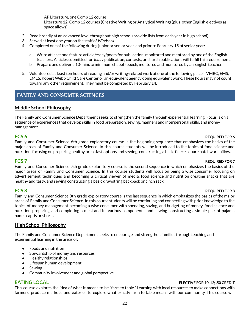- i. AP Literature, one Comp 12 course
- ii. Literature 12, Comp 12 courses (Creative Writing or Analytical Writing) (plus other English electives as space allows)
- <span id="page-23-0"></span>2. Read broadly at an advanced level throughout high school (provide lists from each year in high school).
- 3. Served at least one year on the staff of *Windsock*.
- 4. Completed one of the following during junior or senior year, and prior to February 15 of senior year:
	- a. Write at least one feature article/essay/poem for publication, monitored and mentored by one of the English teachers. Articles submitted for *Today* publication, contests, or church publications will fulfill this requirement.
	- b. Prepare and deliver a 10-minute minimum chapel speech, mentored and monitored by an English teacher.
- 5. Volunteered at least ten hours of reading and/or writing-related work at one of the following places: VMRC, EMS, EMES, Robert Webb Child Care Center or an equivalent agency doing equivalent work. These hours may not count toward any other requirement. They must be completed by February 14.

# **FAMILY AND CONSUMER SCIENCES**

### **Middle School Philosophy**

The Family and Consumer Science Department seeks to strengthen the family through experiential learning. Focus is on a sequence of experiences that develop skills in food preparation, sewing, manners and interpersonal skills, and money management.

### **FCS 6 REQUIRED FOR 6**

Family and Consumer Science 6th grade exploratory course is the beginning sequence that emphasizes the basics of the major areas of Family and Consumer Science. In this course students will be introduced to the topics of food science and nutrition, focusing on preparing healthy breakfast options and sewing, constructing a basic fleece square patchwork pillow.

### **FCS 7 REQUIRED FOR 7**

Family and Consumer Science 7th grade exploratory course is the second sequence in which emphasizes the basics of the major areas of Family and Consumer Science. In this course students will focus on being a wise consumer focusing on advertisement techniques and becoming a critical viewer of media, food science and nutrition creating snacks that are healthy and tasty, and sewing constructing a basic drawstring backpack or cinch sack.

### **FCS 8 REQUIRED FOR 8**

Family and Consumer Science 8th grade exploratory course is the last sequence in which emphasizes the basics of the major areas of Family and Consumer Science. In this course students will be continuing and connecting with prior knowledge to the topics of money management becoming a wise consumer with spending, saving, and budgeting of money, food science and nutrition preparing and completing a meal and its various components, and sewing constructing a simple pair of pajama pants, capris or shorts.

### **High School Philosophy**

The Family and Consumer Science Department seeks to encourage and strengthen families through teaching and experiential learning in the areas of:

- Foods and nutrition
- Stewardship of money and resources
- Healthy relationships
- Lifespan human development
- Sewing
- Community involvement and global perspective

### **EATING LOCAL ELECTIVE FOR 10-12; .50 CREDIT**

This course explores the idea of what it means to be "farm to table." Learning with local resources to make connections with farmers, produce markets, and eateries to explore what exactly farm to table means with our community. This course will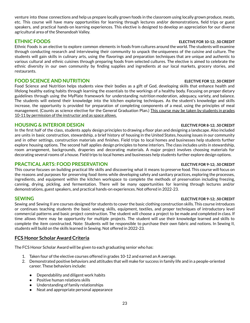venture into those connections and help us prepare locally grown foods in the classroom using locally grown produce, meats, etc. This course will have many opportunities for learning through lectures and/or demonstrations, field trips or guest speakers, and practical hands-on learning experiences. This elective is designed to develop an appreciation for our diverse agricultural area of the Shenandoah Valley.

Ethnic Foods is an elective to explore common elements in foods from cultures around the world. The students will examine through conducting research and interviewing their community to unpack the uniqueness of the cuisine and culture. The students will gain skills in culinary arts, using the flavorings and preparation techniques that are unique and authentic to various cultural and ethnic cuisines through preparing foods from selected cultures. The elective is aimed to celebrate the ethnic diversity in our own community by finding supplies and ingredients at our local markets, grocery stories, and restaurants.

### **FOOD SCIENCE AND NUTRITION ELECTIVE FOR 12; .50 CREDIT**

Food Science and Nutrition helps students view their bodies as a gift of God, developing skills that enhance health and lifelong healthy eating habits through learning the essentials to the workings of a healthy body. Focusing on proper dietary guidelines through using the MyPlate framework for understanding nutrition moderation, adequacy, variety, and balance. The students will extend their knowledge into the kitchen exploring techniques. As the student's knowledge and skills increase, the opportunity is provided for preparation of completing components of a meal, using the principles of meal management. (Counts as science elective for the General Graduation Plan.) This course may be taken by students in grades 10-11 by permission of the instructor and as space allows.

# **HOUSING & INTERIOR DESIGN ELECTIVE FOR 8-12; .50 CREDIT**

In the first half of the class, students apply design principles to drawing a floor plan and designing a landscape. Also included are units in basic construction, stewardship, a brief history of housing in the United States, housing issues in our community and in other settings, construction materials and finishes. Field trips to local homes and businesses help students further explore housing options. The second half applies design principles to home interiors. The class includes units in stewardship, room arrangement, backgrounds, draperies and decorating materials. A major project involves choosing materials for decorating several rooms of a house. Field trips to local homes and businesses help students further explore design options.

# **PRACTICAL ARTS: FOOD PRESERVATION ELECTIVE FOR 9-12; .50 CREDIT**

This course focuses on building practical life skills and discovering what it means to preserve food. This course will focus on the reasons and purposes for preserving food items while developing safety and sanitary practices, exploring the processes, ingredients, and equipment within the kitchen workspace to complete the methods of preservation including freezing, canning, drying, pickling, and fermentation. There will be many opportunities for learning through lectures and/or demonstrations, guest speakers, and practical hands-on experiences. Not offered in 2022-23.

Sewing and Sewing II are courses designed for students to cover the basic clothing construction skills. This course introduces or continues teaching students the basic sewing skills, equipment, textiles, and proper techniques of introductory level commercial patterns and basic project construction. The student will choose a project to be made and completed in class. If time allows there may be opportunity for multiple projects. The student will use their knowledge learned and skills to complete the item constructed. Note: Students will be responsible to purchase their own fabric and notions. In Sewing II, students will build on the skills learned in Sewing. Not offered in 2022-23.

# **FCS Honor Scholar Award Criteria**

The FCS Honor Scholar Award will be given to each graduating senior who has:

- 1. Taken four of the elective courses offered in grades 10-12 and earned an A average.
- 2. Demonstrated positive behaviors and attitudes that will make for success in family life and in a people-oriented career. These behaviors include:
	- Dependability and diligent work habits
	- Positive human relations skills
	- Understanding of family relationships
	- Neat and appropriate personal appearance

# **ETHNIC FOODS ELECTIVE FOR 10-12; .50 CREDIT**

# **SEWING ELECTIVE FOR 9-12; .50 CREDIT**

### 23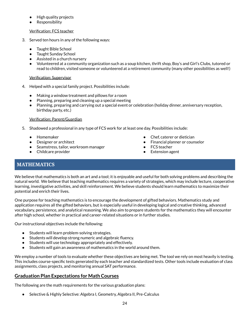- <span id="page-25-0"></span>● High quality projects
- Responsibility

### Verification: FCS teacher

- 3. Served ten hours in any of the following ways:
	- **Taught Bible School**
	- Taught Sunday School
	- Assisted in a church nursery
	- Volunteered at a community organization such as a soup kitchen, thrift shop, Boy's and Girl's Clubs, tutored or read to children, visited someone or volunteered at a retirement community (many other possibilities as well!)

### Verification: Supervisor

- 4. Helped with a special family project. Possibilities include:
	- Making a window treatment and pillows for a room
	- Planning, preparing and cleaning up a special meeting
	- Planning, preparing and carrying out a special event or celebration (holiday dinner, anniversary reception, birthday party, etc.)

### Verification: Parent/Guardian

- 5. Shadowed a professional in any type of FCS work for at least one day. Possibilities include:
	- Homemaker
	- Designer or architect
	- Seamstress, tailor, workroom manager
	- Childcare provider
- Chef, caterer or dietician
- **Financial planner or counselor**
- FCS teacher
- Extension agent

# **MATHEMATICS**

We believe that mathematics is both an art and a tool; it is enjoyable and useful for both solving problems and describing the natural world. We believe that teaching mathematics requires a variety of strategies, which may include lecture, cooperative learning, investigative activities, and skill reinforcement. We believe students should learn mathematics to maximize their potential and enrich their lives.

One purpose for teaching mathematics is to encourage the development of gifted behaviors. Mathematics study and application requires all the gifted behaviors, but is especially useful in developing logical and creative thinking, advanced vocabulary, persistence, and analytical reasoning. We also aim to prepare students for the mathematics they will encounter after high school, whether in practical and career-related situations or in further studies.

Our instructional objectives include the following:

- Students will learn problem-solving strategies.
- Students will develop strong numeric and algebraic fluency.
- Students will use technology appropriately and effectively.
- Students will gain an awareness of mathematics in the world around them.

We employ a number of tools to evaluate whether these objectives are being met. The tool we rely on most heavily is testing. This includes course-specific tests generated by each teacher and standardized tests. Other tools include evaluation of class assignments, class projects, and monitoring annual SAT performance.

# **Graduation Plan Expectations for Math Courses**

The following are the math requirements for the various graduation plans:

● Selective & Highly Selective: Algebra I, Geometry, Algebra II, Pre-Calculus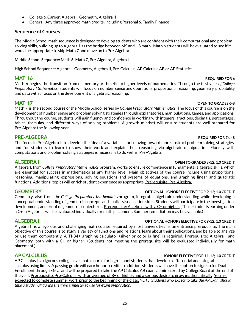- College & Career: Algebra I, Geometry, Algebra II
- General: Any three approved math credits, including Personal & Family Finance

# **Sequence of Courses**

The Middle School math sequence is designed to develop students who are confident with their computational and problem solving skills, building up to Algebra 1 as the bridge between MS and HS math. Math 6 students will be evaluated to see if it would be appropriate to skip Math 7 and move on to Pre-Algebra.

**Middle School Sequence:** Math 6, Math 7, Pre-Algebra, Algebra I

**High School Sequence:** Algebra I, Geometry, Algebra II, Pre-Calculus, AP Calculus AB or AP Statistics

# **MATH** 6 **REQUIRED** FOR **6 REQUIRED** FOR 6

Math 6 begins the transition from elementary arithmetic to higher levels of mathematics. Through the first year *of College Preparatory Mathematics*, students will focus on number sense and operations, proportional reasoning, geometry, probability and data with a focus on the development of algebraic reasoning.

# **MATH 7 OPEN TO GRADES 6-8**

Math 7 is the second course of the Middle School series by *College Preparatory Mathematics*. The focus of this course is on the development of number sense and problem solving strategies through explanatories, manipulations, games, and applications. Throughout the course, students will gain fluency and confidence in working with integers, fractions, decimals, percentages, tables, formulas, and different ways of solving problems. A growth mindset will ensure students are well prepared for Pre-Algebra the following year.

# **PRE-ALGEBRA REQUIRED FOR 7 or 8**

The focus in Pre-Algebra is to develop the idea of a variable, start moving toward more abstract problem solving strategies, and for students to learn to show their work and explain their reasoning via algebraic manipulation. Fluency with computations and problem solving strategies is necessary to do well in Pre-Algebra.

Algebra I, from *College Preparatory Mathematics* program, works to ensure competence in fundamental algebraic skills, which are essential for success in mathematics at any higher level. Main objectives of the course include using proportional reasoning, manipulating expressions, solving equations and systems of equations, and graphing linear and quadratic functions. Additional topics will enrich student experience as appropriate. Prerequisite: Pre-Algebra.

# **GEOMETRY OPTIONAL HONORS ELECTIVE FOR 9-12; 1.0 CREDIT**

Geometry, also from the *College Preparatory Mathematics* program, integrates algebraic understanding while developing a conceptual understanding of geometric concepts and spatial visualization skills. Students will participate in the investigation, development, and proof of geometric conjectures. Prerequisite: Algebra I, with a C+ or higher. (Those students earning under a C+ in Algebra I, will be evaluated individually for math placement. Summer remediation may be available.)

# **ALGEBRA II OPTIONAL HONORS ELECTIVE FOR 9-12; 1.0 CREDIT**

Algebra II is a rigorous and challenging math course required by most universities as an entrance prerequisite. The main objective of this course is to study a variety of functions and relations, learn about their applications, and be able to analyze or use them competently. A TI-84+ graphing calculator (silver or color is fine) is required. Prerequisite: Algebra I and Geometry, both with a C+ or higher. (Students not meeting the prerequisite will be evaluated individually for math placement.)

# **AP CALCULUS HONORS ELECTIVE FOR 11-12; 1.0 CREDIT**

AP Calculus is a rigorous college level math course for high school students that develops differential and integral calculus using limits. A passing grade will earn honors credit. In addition, students will have the option to sign up for Dual Enrollment through EMU, and will be prepared to take the AP Calculus AB exam administered by CollegeBoard at the end of the year. Prerequisite: Pre-Calculus with an average of B+ or higher, and a serious desire to grow mathematically. You are expected to complete summer work prior to the beginning of the class. *NOTE: Students who expect to take the AP Exam should take a study hall during the third trimester to use for exam preparation.*

### **ALGEBRA I OPEN TO GRADES 8-12; 1.0 CREDIT**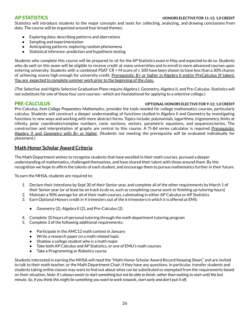Statistics will introduce students to the major concepts and tools for collecting, analyzing, and drawing conclusions from data. The course will be organized around four broad themes:

- Exploring data: describing patterns and aberrations
- Sampling and experimentation
- Anticipating patterns: exploring random phenomena
- Statistical inference: prediction and hypothesis testing

Students who complete this course will be prepared to sit for the AP Statistics exam in May and expected to do so. Students who do well on this exam will be eligible to receive credit at many universities and to enroll in more advanced courses upon entering university. Students with a combined PSAT CR + M score of ≤ 100 have been shown to have less than a 30% chance of achieving scores high enough for university credit. Prerequisite: B+ or higher in Algebra II and/or PreCalculus (if taken). You are expected to complete summer work prior to the beginning of the class..

(The Selective and Highly Selective Graduation Plans require Algebra I, Geometry, Algebra II, and Pre-Calculus. Statistics will not substitute for one of these four core courses—which are foundational for applying to a selective college.)

### **PRE-CALCULUS OPTIONAL HONORS ELECTIVE FOR 9-12; 1.0 CREDIT**

Pre-Calculus, *from College Preparatory Mathematics*, provides the tools needed for college mathematics courses, particularly calculus. Students will construct a deeper understanding of functions studied in Algebra II and Geometry by investigating functions in new ways and working with more abstract forms. Topics include: polynomials, logarithms, trigonometry, limits at infinity, polar coordinates/complex numbers, conic sections, vectors, parametric equations, and sequences/series. The construction and interpretation of graphs are central to this course. A TI-84 series calculator is required. Prerequisite: Algebra II and Geometry with B+ or higher. (Students not meeting the prerequisite will be evaluated individually for placement.)

### **Math Honor Scholar Award Criteria**

The Math Department wishes to recognize students that have excelled in their math courses, pursued a deeper understanding of mathematics, challenged themselves, and have shared their talent with those around them. By this recognition we hope to affirm the talents of each student, and encourage them to pursue mathematics further in their future.

To earn the MHSA, students are required to:

- 1. Declare their intentions by Sept 30 of their Senior year, and complete all of the other requirements by March 1 of their Senior year (or at least be on track to do so, such as completing course work or finishing up tutoring hours)
- 2. Maintain a 90% average for all of their math courses, culminating in either AP Calculus or AP Statistics
- 3. Earn Optional Honors credit in 4 trimesters out of the 6 trimesters in which it is offered at EMS:
	- Geometry (2), Algebra II (2), and Pre-Calculus (2).
- 4. Complete 10 hours of personal tutoring through the math department tutoring program
- 5. Complete 3 of the following additional requirements:
	- Participate in the AMC12 math contest in January
	- Write a research paper on a math related topic
	- Shadow a college student who is a math major
	- Take both AP Calculus and AP Statistics, or one of EMU's math courses
	- Take a Programming or Robotics course

Students interested in earning the MHSA will need the "Math Honor Scholar Award Record Keeping Sheet," and are invited to talk to their math teacher, or the Math Department Chair, if they have any questions. In particular, transfer students and students taking online classes may want to find out about what can be substituted or exempted from the requirements based on their situation. Note: It's always easier to start something but not be able to finish, rather than waiting to start until the last minute. So, if you think this might be something you want to work towards, start early and don't put it off.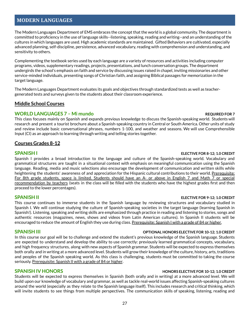# <span id="page-28-0"></span>**MODERN LANGUAGES**

The Modern Languages Department of EMS embraces the concept that the world is a global community. The department is committed to proficiency in the use of language skills--listening, speaking, reading and writing--and an understanding of the cultures in which languages are used. High academic standards are maintained. Gifted Behaviors are cultivated, especially advanced planning, self-discipline, persistence, advanced vocabulary, reading with comprehension and understanding, and sensitivity to others.

Complementing the textbook series used by each language are a variety of resources and activities including computer programs, videos, supplementary readings, projects, presentations, and lunch conversation groups. The department undergirds the school's emphasis on faith and service by discussing issues raised in chapel, inviting missionaries and other service-minded individuals, presenting songs of Christian faith, and assigning Biblical passages for memorization in the target language.

The Modern Languages Department evaluates its goals and objectives through standardized tests as well as teachergenerated tests and surveys given to the students about their classroom experience.

### **Middle School Courses**

### **WORLD LANGUAGES 7 – Mi mundo REQUIRED FOR 7**

This class focuses mainly on Spanish and expands previous knowledge to discuss the Spanish-speaking world. Students will research and present a tourist brochure about a Spanish-speaking country in Central or South America. Other units of study and review include basic conversational phrases, numbers 1-100, and weather and seasons. We will use Comprehensible Input (CI) as an approach to learning through writing and telling stories together.

### **Courses Grades 8-12**

### **SPANISH I ELECTIVE FOR 8-12; 1.0 CREDIT**

Spanish I provides a broad introduction to the language and culture of the Spanish-speaking world. Vocabulary and grammatical structures are taught in a situational context with emphasis on meaningful communication using the Spanish language. Reading, media and music selections also encourage the development of communication and written skills while heightening the students' awareness of and appreciation for the Hispanic cultural contributions to their world. Prerequisite: For 8th grade students, space is limited. Students should have an A- or above in English 7 and Math 7 or special recommendation by teachers (seats in the class will be filled with the students who have the highest grades first and then proceed to the lower percentages).

### **SPANISH II ELECTIVE FOR 9-12; 1.0 CREDIT**

This course continues to immerse students in the Spanish language by reviewing structures and vocabulary studied in Spanish I. We will continue studying the culture of Spanish-speaking societies in the target language (learning Spanish in Spanish!). Listening, speaking and writing skills are emphasized through practice in reading and listening to stories, songs and authentic resources (magazines, news, shows and videos from Latin American cultures). In Spanish II students will be encouraged to reduce the amount of English they use during class. Prerequisite: Spanish I with a grade of 84 or higher.

### **SPANISH III OPTIONAL HONORS ELECTIVE FOR 10-12; 1.0 CREDIT**

In this course our goal will be to challenge and extend the student's previous knowledge of the Spanish language. Students are expected to understand and develop the ability to use correctly: previously learned grammatical concepts, vocabulary, and high frequency structures, along with new aspects of Spanish grammar. Students will be expected to express themselves both orally and in writing at a more advanced level. Students will grow their knowledge of the culture, history, arts, traditions and peoples of the Spanish speaking world. As this class is challenging, students must be committed to taking the course seriously. Prerequisite: Spanish II with a grade of 84 or higher.

Students will be expected to express themselves in Spanish (both orally and in writing) at a more advanced level. We will build upon our knowledge of vocabulary and grammar, as well as tackle real-world issues affecting Spanish-speaking cultures around the world (especially as they relate to the Spanish language itself). This includes research and critical thinking, which will invite students to see things from multiple perspectives. The communication skills of speaking, listening, reading and

### **SPANISH IV HONORS HONORS ELECTIVE FOR 10-12; 1.0 CREDIT**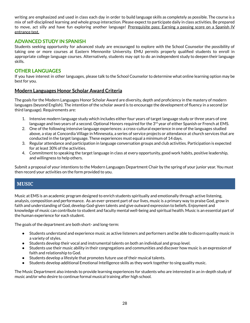<span id="page-29-0"></span>writing are emphasized and used in class each day in order to build language skills as completely as possible. The course is a mix of self-disciplined learning and whole group interaction. Please expect to participate daily in class activities. Be prepared to move, act silly and have fun exploring another language! Prerequisite pass: Earning a passing score on a Spanish IV entrance test.

### **ADVANCED STUDY IN SPANISH**

Students seeking opportunity for advanced study are encouraged to explore with the School Counselor the possibility of taking one or more courses at Eastern Mennonite University. EMU permits properly qualified students to enroll in appropriate college language courses. Alternatively, students may opt to do an independent study to deepen their language skills.

### **OTHER LANGUAGES**

If you have interest in other languages, please talk to the School Counselor to determine what online learning option may be best for you.

### **Modern Languages Honor Scholar Award Criteria**

The goals for the Modern Languages Honor Scholar Award are diversity, depth and proficiency in the mastery of modern languages (beyond English). The intention of the scholar award is to encourage the development of fluency in a second (or third language). Requirements are:

- 1. Intensive modern language study which includes either four years of target language study or three years of one language and two years of a second. Optional Honors required for the 3 $^{\rm rd}$  year of either Spanish or French at EMS.
- 2. One of the following intensive language experiences: a cross-cultural experience in one of the languages studied above, a stay at Concordia Village in Minnesota, a series of service projects or attendance at church services that are conducted in the target language. These experiences must equal a minimum of 14 days.
- 3. Regular attendance and participation in language conversation groups and club activities. Participation is expected for at least 30% of the activities.
- 4. Commitment to speaking the target language in class at every opportunity, good work habits, positive leadership, and willingness to help others.

Submit a proposal of your intentions to the Modern Languages Department Chair by the spring of your junior year. You must then record your activities on the form provided to you.

# **MUSIC**

Music at EMS is an academic program designed to enrich students spiritually and emotionally through active listening, analysis, composition and performance. As an ever-present part of our lives, music is a primary way to praise God, grow in faith and understanding of God, develop God-given talents and give outward expression to beliefs. Enjoyment and knowledge of music can contribute to student and faculty mental well-being and spiritual health. Music is an essential part of the human experience for each student.

The goals of the department are both short- and long-term:

- Students understand and experience music as active listeners and performers and be able to discern quality music in a variety of styles.
- Students develop their vocal and instrumental talents on both an individual and group level.
- Students use their music ability in their congregations and communities and discover how music is an expression of faith and relationship to God.
- Students develop a lifestyle that promotes future use of their musical talents.
- Students develop additional Emotional Intelligence skills as they work together to sing quality music.

The Music Department also intends to provide learning experiences for students who are interested in an in-depth study of music and/or who desire to continue formal musical training after high school.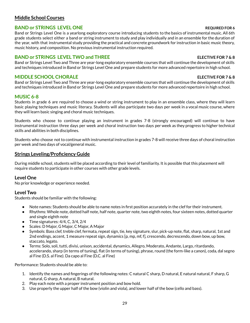# **Middle School Courses**

# **BAND or STRINGS LEVEL ONE REQUIRED FOR 6**

Band or Strings Level One is a yearlong exploratory course introducing students to the basics of instrumental music. All 6th grade students select either a band or string instrument to study and play individually and in an ensemble for the duration of the year, with that instrumental study providing the practical and concrete groundwork for instruction in basic music theory, music history, and composition. No previous instrumental instruction required.

# **BAND or STRINGS LEVEL TWO and THREE ELECTIVE FOR 7 & 8**

Band or Strings Level Two and Three are year-long exploratory ensemble courses that will continue the development of skills and techniques introduced in Band or Strings Level One and prepare students for more advanced repertoire in high school.

# **MIDDLE SCHOOL CHORALE ELECTIVE FOR 7 & 8**

Band or Strings Level Two and Three are year-long exploratory ensemble courses that will continue the development of skills and techniques introduced in Band or Strings Level One and prepare students for more advanced repertoire in high school.

# **MUSIC 6-8**

Students in grade 6 are required to choose a wind or string instrument to play in an ensemble class, where they will learn basic playing techniques and music literacy. Students will also participate two days per week in a vocal music course, where they will learn basic singing and choral music techniques.

Students who choose to continue playing an instrument in grades 7-8 (strongly encouraged) will continue to have instrumental instruction three days per week and choral instruction two days per week as they progress to higher technical skills and abilities in both disciplines.

Students who choose not to continue with instrumental instruction in grades 7-8 will receive three days of choral instruction per week and two days of vocal/general music.

# **Strings Leveling/Proficiency Guide**

During middle school, students will be placed according to their level of familiarity. It is possible that this placement will require students to participate in other courses with other grade levels.

# **Level One**

No prior knowledge or experience needed.

# **Level Two**

Students should be familiar with the following:

- Note names: Students should be able to name notes in first position accurately in the clef for their instrument.
- Rhythms: Whole note, dotted half note, half note, quarter note, two eighth notes, four sixteen notes, dotted quarter and single eighth note
- Time signatures: 4/4, C, 3/4, 2/4
- Scales: D Major, G Major, C Major, A Major
- Symbols: Bass clef, treble clef, fermata, repeat sign, tie, key signature, slur, pick-up note, flat, sharp, natural, 1st and 2nd endings, accent, 1 measure repeat sign, dynamics [p, mp, mf, f], crescendo, decrescendo, down bow, up bow, staccato, legato.
- Terms: Solo, soli, tutti, divisi, unison, accidental, dynamics, Allegro, Moderato, Andante, Largo, ritardando, accelerando, sharp (in terms of tuning), flat (in terms of tuning), phrase, round (the form-like a canon), coda, dal segno al Fine (D.S. al Fine). Da capo al Fine (D.C. al Fine)

Performance: Students should be able to:

- 1. Identify the names and fingerings of the following notes: C natural C sharp, D natural, E natural natural, F sharp, G natural, G sharp, A natural, B natural.
- 2. Play each note with a proper instrument position and bow hold.
- 3. Use properly the upper half of the bow (violin and viola), and lower half of the bow (cello and bass).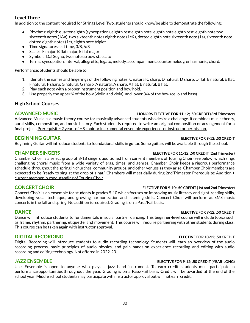# **Level Three**

In addition to the content required for Strings Level Two, students should know/be able to demonstrate the following:

- Rhythms: eighth quarter eighth (syncopation), eighth rest eighth note, eighth note eighth rest, eighth note two sixteenth notes (1&a), two sixteenth notes eighth note (1e&), dotted eighth note sixteenth note (1a), sixteenth note dotted eighth notes (1e), eighth note triplet
- Time signatures: cut time, 3/8, 6/8
- Scales: F major, B flat major, E flat major
- Symbols: Dal Segno, two note up bow staccato
- Terms: syncopation, interval, allegretto, legato, melody, accompaniment, countermelody, enharmonic, chord.

Performance: Students should be able to:

- 1. Identify the names and fingerings of the following notes: C natural C sharp, D natural, D sharp, D flat, E natural, E flat, F natural, F sharp, G natural, G sharp, A natural, A sharp, A flat, B natural, B flat.
- 2. Play each note with a proper instrument position and bow hold.
- 3. Use properly the upper ¾ of the bow (violin and viola), and lower 3/4 of the bow (cello and bass)

# **High School Courses**

### **ADVANCED MUSIC HONORS ELECTIVE FOR 11-12; .50 CREDIT (3rd Trimester)**

Advanced Music is a music theory course for musically advanced students who desire a challenge. It combines music theory, aural skills, composition, and music history. Each student is required to write an original composition or arrangement for a final project. Prerequisite: 2 years of HS choir or instrumental ensemble experience, or instructor permission.

# **BEGINNING GUITAR ELECTIVE FOR 9-12; .50 CREDIT**

Beginning Guitar will introduce students to foundational skills in guitar. Some guitars will be available through the school.

Chamber Choir is a select group of 8-18 singers auditioned from current members of Touring Choir (see below) which sings challenging choral music from a wide variety of eras, times, and genres. Chamber Choir keeps a rigorous performance schedule throughout the spring in churches, community groups, and other venues as they arise. Chamber Choir members are expected to be "ready to sing at the drop of a hat." Chambers will meet daily during 2nd Trimester. Prerequisite: Audition  $+$ current member in good standing of Touring Choir.

# **CONCERT CHOIR ELECTIVE FOR 9-10; .50 CREDIT (1st and 2nd Trimester)**

Concert Choir is an ensemble for students in grades 9-10 which focuses on improving music literacy and sight-reading skills, developing vocal technique, and growing harmonization and listening skills. Concert Choir will perform at EMS music concerts in the fall and spring. No audition is required. Grading is on a Pass/Fail basis.

### **DANCE ELECTIVE FOR 9-12; .50 CREDIT**

Dance will introduce students to fundamentals in social partner dancing. This beginner-level course will include topics such as frame, rhythm, partnering, etiquette, and movement. This course will require partnering with other students during class. This course can be taken again with instructor approval.

Digital Recording will introduce students to audio recording technology. Students will learn an overview of the audio recording process, basic principles of audio physics, and gain hands-on experience recording and editing with audio recording and editing technology. Not offered in 2022-23.

### **JAZZ ENSEMBLE ELECTIVE FOR 9-12; .50 CREDIT (YEAR-LONG)**

Jazz Ensemble is open to anyone who plays a jazz band instrument. To earn credit, students must participate in performance opportunities throughout the year. Grading is on a Pass/Fail basis. Credit will be awarded at the end of the school year. Middle school students may participate with instructor approval but will not earn credit.

### **DIGITAL RECORDING ELECTIVE FOR 10-12; .50 CREDIT**

# **CHAMBER SINGERS ELECTIVE FOR 11-12; .50 CREDIT (2nd Trimester)**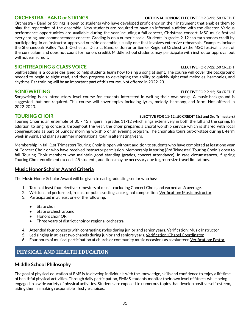Orchestra - Band or Strings is open to students who have developed proficiency on their instrument that enables them to play the repertoire of the ensemble. New students are required to have an informal audition with the director. Various performance opportunities are available during the year including a fall concert, Christmas concert, MSC music festival every spring, and commencement concert. Grading is on a numeric scale. Students in grades 9-12 can earn honors credit by participating in an instructor-approved outside ensemble, usually one that involves extensive rehearsals. Examples include the Shenandoah Valley Youth Orchestra, District Band, or Junior or Senior Regional Orchestra (the MSC festival is part of the curriculum and does not count for honors credit). Middle school students may participate with instructor approval but will not earn credit.

### **SIGHTREADING & CLASS VOICE ELECTIVE FOR 9-12; .50 CREDIT**

Sightreading is a course designed to help students learn how to sing a song at sight. The course will cover the background needed to begin to sight read, and then progress to developing the ability to quickly sight read melodies, harmonies, and rhythms. Ear training will be an important part of this course. Not offered in 2022-23.

### **SONGWRITING ELECTIVE FOR 9-12; .50 CREDIT**

Songwriting is an introductory level course for students interested in writing their own songs. A music background is suggested, but not required. This course will cover topics including lyrics, melody, harmony, and form. Not offered in 2022-2023.

### **TOURING CHOIR ELECTIVE FOR 11-12; .50 CREDIT (1st and 3rd Trimesters)**

Touring Choir is an ensemble of 30 - 45 singers in grades 11-12 which sings extensively in both the fall and the spring. In addition to singing concerts throughout the year, the choir prepares a choral worship service which is shared with local congregations as part of Sunday morning worship or an evening program. The choir also tours out-of-state during E-term week in April, and plans a summer international tour in alternating years.

Membership in fall (1st Trimester) Touring Choir is open without audition to students who have completed at least one year of Concert Choir or who have received instructor permission. Membership in spring (3rd Trimester) Touring Choir is open to fall Touring Choir members who maintain good standing (grades, concert attendance). In rare circumstances, if spring Touring Choir enrollment exceeds 45 students, auditions may be necessary due to group-size travel limitations.

# **Music Honor Scholar Award Criteria**

The Music Honor Scholar Award will be given to each graduating senior who has:

- 1. Taken at least four elective trimesters of music, excluding Concert Choir, and earned an A average.
- 2. Written and performed, in class or public setting, an original composition. Verification: Music Instructor
- 3. Participated in at least one of the following:
	- State choir
	- State orchestra/band
	- Honors choir OR
	- Three years of district choir or regional orchestra
- 4. Attended four concerts with contrasting styles during junior and senior years. Verification: Music Instructor
- 5. Led singing in at least two chapels during junior and seniors years. Verification: Chapel Coordinator
- 6. Four hours of musical participation at church or community music occasions as a volunteer. Verification: Pastor

# **PHYSICAL AND HEALTH EDUCATION**

# **Middle School Philosophy**

The goal of physical education at EMS is to develop individuals with the knowledge, skills and confidence to enjoy a lifetime of healthful physical activities. Through daily participation, EMMS students monitor their own level of fitness while being engaged in a wide variety of physical activities. Students are exposed to numerous topics that develop positive self-esteem, aiding them in making responsible lifestyle choices.

### <span id="page-32-0"></span>**ORCHESTRA - BAND or STRINGS OPTIONAL HONORS ELECTIVE FOR 8-12; .50 CREDIT**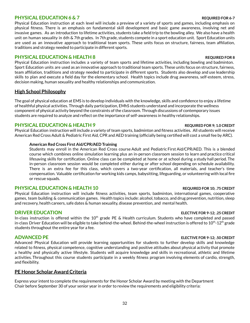### **PHYSICAL EDUCATION 6 & 7 REQUIRED FOR 6-7**

Physical Education instruction at each level will include a preview of a variety of sports and games, including emphasis on physical fitness. There is an emphasis on fundamental skill development and basic game awareness, involving net and invasive games. As an introduction to lifetime activities, students take a field trip to the bowling alley. We also have a health unit on human sexuality in 6th & 7th grades. In 7th grade, students compete in a sport education unit. Sport Education units are used as an innovative approach to traditional team sports. These units focus on structure, fairness, team affiliation, traditions and strategy needed to participate in different sports.

## **PHYSICAL EDUCATION & HEALTH 8 REQUIRED FOR 8**

Physical Education instruction includes a variety of team sports and lifetime activities, including bowling and badminton. Sport Education units are used as an innovative approach to traditional team sports. These units focus on structure, fairness, team affiliation, traditions and strategy needed to participate in different sports. Students also develop and use leadership skills to plan and execute a field day for the elementary school. Health topics include drug awareness, self-esteem, stress, decision making, human sexuality and healthy relationships and communication.

# **High School Philosophy**

The goal of physical education at EMS is to develop individuals with the knowledge, skills and confidence to enjoy a lifetime of healthful physical activities. Through daily participation, EMhS students understand and incorporate the wellness component of physical activity beyond the constraints of the classroom. Through discussions of contemporary issues students are required to analyze and reflect on the importance of self-awareness in healthy relationships.

# **PHYSICAL EDUCATION & HEALTH 9 REQUIRED FOR 9; 1.0 CREDIT**

Physical Education instruction will include a variety of team sports, badminton and fitness activities. All students will receive American Red Cross Adult & Pediatric First Aid, CPR and AED training (officially being certified will cost a small fee by ARC).

### **American Red Cross First Aid/CPR/AED Training**

Students may enroll in the American Red Cross course Adult and Pediatric First Aid/CPR/AED. This is a blended course which combines online simulation learning plus an in-person classroom session to learn and practice critical lifesaving skills for certification. Online class can be completed at home or at school during a study hall period. The in-person classroom session would be completed either during or after school depending on schedule availability. There is an extra fee for this class, which covers a two-year certification, all materials, and teacher's time compensation. Valuable certification for working kids camps, babysitting, lifeguarding, or volunteering with local fire or rescue squads.

# **PHYSICAL EDUCATION & HEALTH 10 REQUIRED FOR 10; .75 CREDIT**

Physical Education instruction will include fitness activities, team sports, badminton, international games, cooperative games, team building & communication games. Health topics include: alcohol, tobacco, and drug prevention, nutrition, sleep and recovery, health careers, safe dates & human sexuality, disease prevention, and mental health.

# **DRIVER EDUCATION ELECTIVE FOR 9-12; .25 CREDIT**

In-class instruction is offered within the 10<sup>th</sup> grade PE & Health curriculum. Students who have completed and passed in-class Driver Education will be eligible to take behind-the-wheel. Behind-the-wheel instruction is offered to 10<sup>th</sup>-12<sup>th</sup> grade students throughout the entire year for a fee.

### **ADVANCED PE ELECTIVE FOR 9-12; .50 CREDIT**

Advanced Physical Education will provide learning opportunities for students to further develop skills and knowledge related to fitness, physical competence, cognitive understanding and positive attitudes about physical activity that promote a healthy and physically active lifestyle. Students will acquire knowledge and skills in recreational, athletic and lifetime activities. Throughout this course students participate in a weekly fitness program involving elements of cardio, strength, and flexibility.

# **PE Honor Scholar Award Criteria**

Express your intent to complete the requirements for the Honor Scholar Award by meeting with the Department Chair before September 30 of your senior year in order to review the requirements and eligibility criteria:

### 32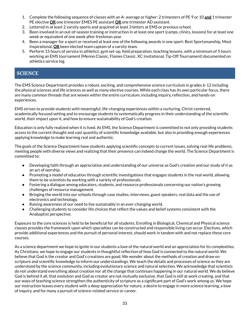- <span id="page-34-0"></span>1. Complete the following sequence of classes with an A- average or higher: 2 trimesters of PE 9 or 10 **and** 1 trimester PE elective **OR** one trimester EMES PE assistant **OR** one trimester AD assistant.
- 2. Lettered in at least 2 varsity sports and acquired at least 3 letters at EMS or previous school.
- 3. Been involved in an out-of-season training or instruction in at least one sport (camps, clinics, lessons) for at least one week or equivalent of one week after freshman year.
- 4. Been a manager for a sport or received at least one of the following awards in one sport: Best Sportsmanship, Most Inspirational, **OR** been elected team captain of a varsity team.
- 5. Perform 15 hours of service in athletics: gym set-up, field preparation, teaching lessons, with a minimum of 5 hours working an EMS tournament (Menno Classic, Flames Classic, XC Invitational, Tip-Off Tournament) documented on athletics service log.

# **SCIENCE**

The EMS Science Department provides a robust, exciting, and comprehensive science curriculum in grades 6-12 including the physical sciences and life sciences as well as many elective courses. While each class has its own particular focus, there are many common threads that are woven within the entire curriculum, including inquiry, reflection, and hands-on experiences.

EMS strives to provide students with meaningful, life-changing experiences within a nurturing, Christ-centered, academically focused setting and to encourage students to systematically progress in their understanding of the scientific world, their impact upon it, and how to ensure sustainability of God's creation.

Education is only fully realized when it is lived. At EMS, the Science Department is committed to not only providing students access to the current thought and vast quantity of scientific knowledge available, but also in providing enough experiences applying knowledge to make learning real and authentic.

The goals of the Science Department have students applying scientific concepts to current issues, solving real-life problems, meeting people with diverse views and realizing that their presence can indeed change the world. The Science Department is committed to:

- Developing faith through an appreciation and understanding of our universe as God's creation and our study of it as an act of worship.
- Promoting a model of education through scientific investigations that engages students in the real world, allowing them to be scientists by working with a variety of professionals.
- Fostering a dialogue among educators, students, and resource professionals concerning our nation's growing challenges of resource management.
- Bringing the world into our schools through case studies, interviews, guest speakers, real data and the use of electronics and technology.
- Raising awareness of our need to live sustainably in an ever-changing world.
- Challenging students to consider life choices that reflect the values and belief systems consistent with the Anabaptist perspective.

Exposure to the core sciences is held to be beneficial for all students. Enrolling in Biological, Chemical and Physical science classes provides the framework upon which specialties can be constructed and responsible living can occur. Electives, which provide additional experiences and the pursuit of personal interest, should work in tandem with and not replace these core courses.

As a science department we hope to ignite in our students a love of the natural world and an appreciation for its complexities. As Christians, we hope to engage our students in thoughtful reflection of how God is connected to the natural world. We believe that God is the creator and God's creations are good. We wonder about the methods of creation and draw on scripture and scientific knowledge to inform our understandings. We teach the details and processes of science as they are understood by the science community, including evolutionary science and natural selection. We acknowledge that scientists do not understand everything about creation nor all the change that continues happening in our natural world. We do believe God is behind it all, that evolution and God as creator are not mutually exclusive, that God is still at work creating, and that our ways of teaching science strengthen the authenticity of scripture as a significant part of God's work among us. We hope our instruction leaves every student with a deep appreciation for nature, a desire to engage in more science learning, a love of inquiry, and for many a pursuit of science-related service or career.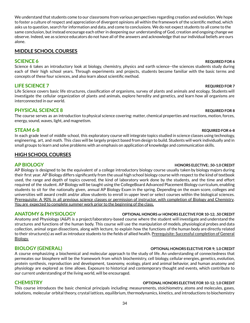We understand that students come to our classrooms from various perspectives regarding creation and evolution. We hope to foster a culture of respect and appreciation of divergent opinions all within the framework of the scientific method, which asks us to question, search for information and data, and come to conclusions. We do not expect students to all come to the same conclusion, but instead encourage each other in deepening our understanding of God, creation and ongoing change we observe. Indeed, we as science educators do not have all of the answers and acknowledge that our individual beliefs are ours alone.

# **MIDDLE SCHOOL COURSES**

Science 6 takes an introductory look at biology, chemistry, physics and earth science--the sciences students study during each of their high school years. Through experiments and projects, students become familiar with the basic terms and concepts of these four sciences, and also learn about scientific method.

# **LIFE SCIENCE 7 REQUIRED FOR 7**

Life Science covers basic life structures, classification of organisms, survey of plants and animals and ecology. Students will investigate the cellular organization of plants and animals, explore heredity and genetics, and learn how all organisms are interconnected in our world.

# **PHYSICAL SCIENCE 8 REQUIRED FOR 8**

The course serves as an introduction to physical science covering: matter, chemical properties and reactions, motion, forces, energy, sound, waves, light, and magnetism.

In each grade level of middle school, this exploratory course will integrate topics studied in science classes using technology, engineering, art, and math. This class will be largely project based from design to build. Students will work individually and in small groups to learn and solve problems with an emphasis on application of knowledge and communication skills.

# **HIGH SCHOOL COURSES**

AP Biology is designed to be the equivalent of a college introductory biology course usually taken by biology majors during their first year. AP Biology differs significantly from the usual high school biology course with respect to the kind of textbook used, the range and depth of topics covered, the kind of laboratory work done by the students, and the time and effort required of the student. AP Biology will be taught using the CollegeBoard Advanced Placement Biology curriculum, enabling students to sit for the nationally given, annual AP Biology Exam in the spring. Depending on the exam score, colleges and universities will award credit and/or allow students to enroll in upper level or select courses within the biological sciences. Prerequisite: A 90% in all previous science classes or permission of instructor, with completion of Biology and Chemistry. You are expected to complete summer work prior to the beginning of the class.

# **ANATOMY & PHYSIOLOGY OPTIONAL HONORS or HONORS ELECTIVE FOR 10-12; .50 CREDIT**

Anatomy and Physiology (A&P) is a project/laboratory-based course where the student will investigate and understand the structures and functions of the human body. This course will use the manipulation of models, physiological probes and data collection, animal organ dissections, along with lecture, to explain how the functions of the human body are directly related to their structure(s) as well as introduce students to the fields of allied health. Prerequisite: Successful completion of General Biology.

A course emphasizing a biochemical and molecular approach to the study of life. An understanding of connectedness that permeates our biosphere will be the framework from which biochemistry, cell biology, cellular energies, genetics, evolution, protein synthesis, reproduction and development, taxonomy, ecology, plant and animal behavior, and human anatomy and physiology are explored as time allows. Exposure to historical and contemporary thought and events, which contribute to our current understanding of the living world, will be encouraged.

# **CHEMISTRY OPTIONAL HONORS ELECTIVE FOR 10-12; 1.0 CREDIT**

This course introduces the basic chemical principals including: measurements, stoichiometry, atoms and molecules, gases, solutions, molecular orbital theory, crystal lattices, equilibrium, thermodynamics, kinetics, and introductions to biochemistry

### **SCIENCE 6 REQUIRED** FOR **6**

# **STEAM 6-8 REQUIRED FOR 6-8**

### **AP BIOLOGY HONORS ELECTIVE; .50-1.0 CREDIT**

### **BIOLOGY (GENERAL) OPTIONAL HONORS ELECTIVE FOR 9; 1.0 CREDIT**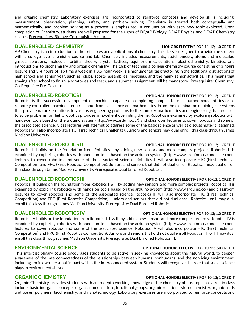and organic chemistry. Laboratory exercises are incorporated to reinforce concepts and develop skills including: measurement, observation, planning, safety, and problem solving. Chemistry is treated both conceptually and mathematically, and problem solving as a process is emphasized in conjunction with each new topic explored. Upon completion of Chemistry, students are well prepared for the rigors of DE/AP Biology, DE/AP Physics, and DE/AP Chemistry classes. Prerequisites: Biology, Co-requisite: Algebra II

### **DUAL ENROLLED CHEMISTRY HONORS ELECTIVE FOR 11-12; 1.0 CREDIT**

AP Chemistry is an introduction to the principles and applications of chemistry. This class is designed to provide the student with a college level chemistry course and lab. Chemistry includes measurements, stoichiometry, atoms and molecules, gasses, solutions, molecular orbital theory, crystal lattices, equilibrium calculations, electrochemistry, kinetics, and introductions to biochemistry and organic chemistry. The task of teaching a college chemistry course consisting of 3 hours lecture and 3-4 hours of lab time a week in a 3.5-hour week is a monumental task factoring in the additional distractions of high school and senior year, such as; clubs, sports, assemblies, meetings, and the many senior activities. This means that staying after school to finish laboratories and tests, and a summer assignment will be mandatory! Prerequisite: Chemistry; Co-Requisite: Pre-Calculus.

Robotics is the successful development of machines capable of completing complex tasks as autonomous entities or as remotely controlled machines requires input from all science and mathematics. From the examination of biological systems that provide nature's solutions to various engineering problems to the complex mathematics and engineering that are used to solve problems for flight, robotics provides an excellent overriding theme. Robotics is examined by exploring robotics with hands-on tools based on the arduino system (<http://www.arduino.cc/>) and classroom lectures to cover robotics and some of the associated science. Class lectures will attempt to address some of the basic science as well as discuss material assigned. Robotics will also incorporate FTC (First Technical Challenge). Juniors and seniors may dual enroll this class through James Madison University.

### **DUAL ENROLLED ROBOTICS II OPTIONAL HONORS ELECTIVE FOR 10-12; 1 CREDIT**

Robotics II builds on the foundation from Robotics I by adding new sensors and more complex projects. Robotics II is examined by exploring robotics with hands-on tools based on the arduino system [\(http://www.arduino.cc/](http://www.arduino.cc/)) and classroom lectures to cover robotics and some of the associated science. Robotics II will also incorporate FTC (First Technical Competition) and FRC (First Robotics Competition). Juniors and seniors that did not dual enroll Robotics I may dual enroll this class through James Madison University. Prerequisite: Dual Enrolled Robotics I.

# **DUAL ENROLLED ROBOTICS III OPTIONAL HONORS ELECTIVE FOR 10-12; 1 CREDIT**

Robotics III builds on the foundation from Robotics I & II by adding new sensors and more complex projects. Robotics III is examined by exploring robotics with hands-on tools based on the arduino system [\(http://www.arduino.cc/](http://www.arduino.cc/)) and classroom lectures to cover robotics and some of the associated science. Robotics III will also incorporate FTC (First Technical Competition) and FRC (First Robotics Competition). Juniors and seniors that did not dual enroll Robotics I or II may dual enroll this class through James Madison University. Prerequisite: Dual Enrolled Robotics II.

# **DUAL ENROLLED ROBOTICS IV OPTIONAL HONORS ELECTIVE FOR 10-12; 1.0 CREDIT**

Robotics IV builds on the foundation from Robotics I, II & III by adding new sensors and more complex projects. Robotics IV is examined by exploring robotics with hands-on tools based on the arduino system [\(http://www.arduino.cc/](http://www.arduino.cc/)) and classroom lectures to cover robotics and some of the associated science. Robotics IV will also incorporate FTC (First Technical Competition) and FRC (First Robotics Competition). Juniors and seniors that did not dual enroll Robotics I, II or III may dual enroll this class through James Madison University. Prerequisite: Dual Enrolled Robotics III.

# **ENVIRONMENTAL SCIENCE OPTIONAL HONORS ELECTIVE FOR 10-12; .50 CREDIT**

This interdisciplinary course encourages students to be active in seeking knowledge about the natural world, to deepen awareness of the interconnectedness of the relationships between humans, nonhumans, and the nonliving environment, including their own personal impact within the interconnected system. Students will recognize the role that social science plays in environmental issues

Organic Chemistry provides students with an in-depth working knowledge of the chemistry of life. Topics covered in class include: basic inorganic concepts, organic nomenclature, functional groups, organic reactions, stereochemistry, organic acids and bases, polymers, biochemistry, and nanotechnology. Laboratory exercises are incorporated to reinforce concepts and

# **DUAL ENROLLED ROBOTICS I OPTIONAL HONORS ELECTIVE FOR 10-12; 1 CREDIT**

## **ORGANIC CHEMISTRY OPTIONAL HONORS ELECTIVE FOR 10-12; 1 CREDIT**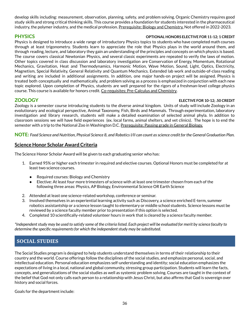<span id="page-37-0"></span>develop skills including: measurement, observation, planning, safety, and problem solving. Organic Chemistry requires good study skills and strong critical thinking skills. This course provides a foundation for students interested in the pharmaceutical industry, the polymer industry, and the medical profession. Prerequisite: Biology and Chemistry. Not offered in 2022-2023.

### **PHYSICS OPTIONAL HONORS ELECTIVE FOR 11-12; 1 CREDIT**

Physics is designed to introduce a wide range of introductory Physics topics to students who have completed math courses through at least trigonometry. Students learn to appreciate the role that Physics plays in the world around them, and through reading, lecture, and laboratory they gain an understanding of the principles and concepts on which physics is based. The course covers classical Newtonian Physics, and several classic experiments are repeated to verify the laws of motion. Other topics covered in class discussion and laboratory investigation are Conservation of Energy, Momentum, Rotational Mechanics, Gravitation, Heat and Thermodynamics, Harmonic Motion, Wave Motion, Sound, Light, Optics, Electricity, Magnetism, Special Relativity, General Relativity and Quantum Mechanics. Extended lab work and outside-of-class reading and writing are included in additional assignments. In addition, one major hands-on project will be assigned. Physics is treated both conceptually and mathematically, and problem solving as a process is emphasized in conjunction with each new topic explored. Upon completion of Physics, students are well prepared for the rigors of a freshman-level college physics course. This course is available for honors credit. Co-requisites: Pre-Calculus and Chemistry.

### **ZOOLOGY ELECTIVE FOR 10-12; .50 CREDIT**

Zoology is a semester course introducing students to the diverse animal kingdom. Units of study will include Zoology in an evolutionary and ecological perspective, Animal Taxonomy, Fish, Birds and Mammals. Through experimentation, laboratory investigation and library research, students will make a detailed examination of selected animal phyla. In addition to classroom sessions we will have field experiences (ex. local farms, animal shelters, and vet clinics). The hope is to end the semester with a trip to the National Zoo in Washington D.C. Prerequisite: Passing grade in General Biology.

NOTE: Food Science and Nutrition, Physical Science 8, and Robotics I/II can count as science credit for the General Graduation Plan.

# **Science Honor Scholar Award Criteria**

The Science Honor Scholar Award will be given to each graduating senior who has:

- 1. Earned 95% or higher each trimester in required and elective courses. Optional Honors must be completed for at least two science courses.
	- Required courses: Biology and Chemistry
	- Elective: At least four more trimesters of science with at least one trimester chosen from each of the following three areas: Physics, AP Biology, Environmental Science OR Earth Science
- 2. Attended at least one science-related workshop, conference or seminar.
- 3. Involved themselves in an experiential learning activity such as Discovery, a science enriched E-term, summer robotics assistantship or a science lesson taught to elementary or middle school students. Science lessons must be reviewed by a science faculty member prior to presentation if this option is selected.
- 4. Completed 10 scientifically-related volunteer hours in work that is cleared by a science faculty member.

\*Independent study may be used to satisfy some of the criteria listed. Each project will be evaluated for merit by science faculty to *determine the specific requirementsfor which the independentstudy may be substituted.*

# **SOCIAL STUDIES**

The Social Studies program is designed to help students understand themselves in terms of their relationship to their country and the world. Course offerings follow the disciplines of the social studies, and emphasize personal, social, and intellectual education. Personal education emphasizes self-understanding and identity; social education emphasizes the expectations of living in a local, national and global community, stressing group participation. Students will learn the facts, concepts, and generalizations of the social studies as well as systemic problem solving. Courses are taught in the context of the belief that God not only calls each person to a relationship with Jesus Christ, but also affirms that God is sovereign over history and social forces.

Goals for the department include: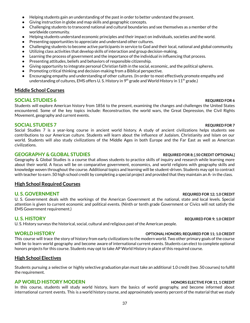- Helping students gain an understanding of the past in order to better understand the present.
- Giving instruction in globe and map skills and geographic concepts.
- Challenging students to transcend national and cultural boundaries and see themselves as a member of the worldwide community.
- Helping students understand economic principles and their impact on individuals, societies and the world.
- Presenting opportunities to appreciate and understand other cultures.
- Challenging students to become active participants in service to God and their local, national and global community.
- Utilizing class activities that develop skills of interaction and group decision-making.
- Learning the process of government and the importance of the individual in influencing that process.
- Presenting attitudes, beliefs and behaviors of responsible citizenship.
- Giving opportunity to integrate personal Christian faith in the social, economic, and the political spheres.
- Promoting critical thinking and decision-making from a Biblical perspective.
- Encouraging empathy and understanding of other cultures. (In order to most effectively promote empathy and understanding of cultures, EMS offers U. S. History in 9<sup>th</sup> grade and World History in 11<sup>th</sup> grade.)

### **Middle School Courses**

### **SOCIAL STUDIES 6 REQUIRED FOR 6 REQUIRED FOR 6 REQUIRED FOR 6**

Students will explore American history from 1856 to the present, examining the changes and challenges the United States encountered. Some of the key topics include: Reconstruction, the world wars, the Great Depression, the Civil Rights Movement, geography and current events.

### **SOCIAL STUDIES 7 REQUIRED FOR 7 REQUIRED FOR 7**

Social Studies 7 is a year-long course in ancient world history. A study of ancient civilizations helps students see contributions to our American culture. Students will learn about the influence of Judaism, Christianity and Islam on our world. Students will also study civilizations of the Middle Ages in both Europe and the Far East as well as American civilizations.

### **GEOGRAPHY & GLOBAL STUDIES REQUIRED FOR 8; [.50 CREDIT OPTIONAL]**

Geography & Global Studies is a course that allows students to practice skills of inquiry and research while learning more about their world. A focus will be on comparative government, economics, and world religions with geography skills and knowledge woven throughout the course. Additional topics and learning will be student-driven. Students may opt to contract with teacher to earn .50 high school credit by completing a special project and provided that they maintain an A- in the class.

### **High School Required Courses**

### **U. S. GOVERNMENT REQUIRED FOR 12; 1.0 CREDIT**

U. S. Government deals with the workings of the American Government at the national, state and local levels. Special attention is given to current economic and political events. (Ninth or tenth grade Government or Civics will not satisfy the EMS Government requirement.)

U. S. History surveys the historical, social, cultural and religious past of the American people.

# **WORLD HISTORY OPTIONAL HONORS; REQUIRED FOR 11; 1.0 CREDIT**

This course will trace the story of history from early civilizations to the modern world. Two other primary goals of the course will be to learn world geography and become aware of international current events. Students can elect to complete optional honors projects for this course. Students may opt to take AP World History in place of this required course.

### **High School Electives**

Students pursuing a selective or highly selective graduation plan must take an additional 1.0 credit (two .50 courses) to fulfill the requirement.

### **AP WORLD HISTORY MODERN HONORS ELECTIVE FOR 11, 1 CREDIT**

In this course, students will study world history, learn the basics of world geography, and become informed about international current events. This is a world history course, and approximately seventy percent of the material that we study

# **U. S. HISTORY REQUIRED FOR 9; 1.0 CREDIT**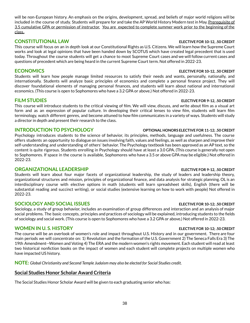will be non-European history. An emphasis on the origins, development, spread, and beliefs of major world religions will be included in the course of study. Students will prepare for and take the AP World History Modern test in May. Prerequisite of 3.5 cumulative GPA or permission of instructor. You are expected to complete summer work prior to the beginning of the class..

# **CONSTITUTIONAL LAW ELECTIVE FOR 10-12, .50 CREDIT**

This course will focus on an in depth look at our Constitutional Rights as U.S. Citizens. We will learn how the Supreme Court works and look at legal opinions that have been handed down by SCOTUS which have created legal precedent that is used today. Throughout the course students will get a chance to moot Supreme Court cases and we will follow current cases and questions of precedent which are being heard in the current Supreme Court term. Not offered in 2022-23.

# **ECONOMICS ELECTIVE FOR 10-12, .50 CREDIT**

Students will learn how people manage limited resources to satisfy their needs and wants, personally, nationally, and internationally. Students will analyze basic principles of economics and complete a personal finance project. They will discover foundational elements of managing personal finances, and students will learn about national and international economics. (This course is open to Sophomores who have a 3.2 GPA or above.) Not offered in 2022-23.

This course will introduce students to the critical viewing of film. We will view, discuss, and write about film as a visual art form and as an expression of popular culture. In developing their critical lenses to view film, students will learn film terminology, watch different genres, and become attuned to how film communicates in a variety of ways. Students will study a director in depth and present their research to the class.

# **INTRODUCTION TO PSYCHOLOGY OPTIONAL HONORS ELECTIVE FOR 11-12; .50 CREDIT**

Psychology introduces students to the science of behavior, its principles, methods, language and usefulness. The course offers students an opportunity to dialogue on issues involving faith, values and feelings, as well as sharpen and improve their self-understanding and understanding of others' behavior. The Psychology textbook has been approved as an AP text, so the content is quite rigorous. Students enrolling in Psychology should have at least a 3.0 GPA. (This course is generally not open to Sophomores. If space in the course is available, Sophomores who have a 3.5 or above GPA may be eligible.) Not offered in 2022-23.

# **ORGANIZATIONAL LEADERSHIP ELECTIVE FOR 9-12, .50 CREDIT**

Students will learn about four major facets of organizational leadership, the study of leaders and leadership theory, organizational structures and mission, principles of organizational finance, and data analysis for strategic planning. OL is an interdisciplinary course with elective options in math (students will learn spreadsheet skills), English (there will be substantial reading and succinct writing), or social studies (extensive learning on how to work with people) Not offered in 2022-23.

# **SOCIOLOGY AND SOCIAL ISSUES ELECTIVE FOR 10-12; .50 CREDIT**

Sociology, a study of group behavior, includes an examination of group differences and interaction and an analysis of major social problems. The basic concepts, principles and practices of sociology will be explained, introducing students to the fields of sociology and social work. (This course is open to Sophomores who have a 3.2 GPA or above.) Not offered in 2022-23.

# **WOMEN IN U. S. HISTORY ELECTIVE FOR 10-12; .50 CREDIT**

The course will be an overlook of women's role and impact throughout U.S. History and in our government. There are four main periods we will concentrate on: 1) Revolution and the formation of the U.S. Government 2) The Seneca Falls Era 3) The 19th Amendment--Women and Voting 4) The ERA and the modern women's rights movement. Each student will read at least two historical nonfiction books on the impact of women and each student will complete projects on multiple women who have impacted US history.

**NOTE:** *Global Christianity and Second Temple Judaism may also be elected for Social Studies credit.*

# **Social Studies Honor Scholar Award Criteria**

The Social Studies Honor Scholar Award will be given to each graduating senior who has:

### **FILM STUDIES ELECTIVE FOR 9-12, .50 CREDIT**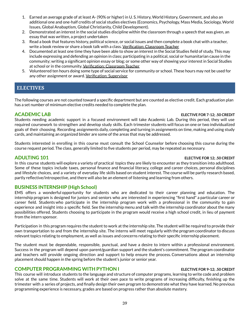- <span id="page-40-0"></span>1. Earned an average grade of at least A- (90% or higher) in U. S. History, World History, Government, and also an additional one and one-half credits of social studies electives (Economics, Psychology, Mass Media, Sociology, World Issues, Global Anabaptism, Global Christianity, Child Development).
- 2. Demonstrated an interest in the social studies discipline within the classroom through a speech that was given, an essay that was written, a project undertaken
- 3. Read a book that features history, political science, or social issues and then complete a book chat with a teacher, write a book review or share a book talk with a class. Verification: Classroom Teacher
- 4. Documented at least one time they have been able to show an interest in the Social Studies field of study. This may include expressing and defending an opinion in class; participating in a political, social or humanitarian cause in the community; writing a significant opinion essay or blog; or some other way of showing your interest in Social Studies at school or in the community. Verification: Classroom Teacher
- 5. Volunteered ten hours doing some type of social service for community or school. These hours may not be used for any other assignment or award. Verification: Supervisor

# **ELECTIVES**

The following courses are not counted toward a specific department but are counted as elective credit. Each graduation plan has a set number of minimum elective credits needed to complete the plan.

### **ACADEMIC LAB ELECTIVE FOR 7-12; .50 CREDIT**

Students needing academic support in a focused environment will take Academic Lab. During this period, they will use required coursework to strengthen and develop study skills. Each trimester students will focus on one or two individualized goals of their choosing. Recording assignments daily, completing and turning in assignments on time, making and using study cards, and maintaining an organized binder are some of the areas that may be addressed.

Students interested in enrolling in this course must consult the School Counselor before choosing this course during the course request period. The class, generally limited to five students per period, may be repeated as necessary.

### **ADULTING 101 ELECTIVE FOR 12; .50 CREDIT**

In this course students will explore a variety of practical topics they are likely to encounter as they transition into adulthood. Some of these topics include taxes, personal finance and financial literacy, college and career choices, personal disciplines and lifestyle choices, and a variety of everyday life skills based on student interest. The course will be partly research based, partly reflective/introspective, and there will also be an element of listening and learning from others.

# **BUSINESS INTERNSHIP (High School)**

EMS offers a wonderful opportunity for students who are dedicated to their career planning and education. The internship program is designed for juniors and seniors who are interested in experiencing "first hand" a particular career or career field. Students who participate in the internship program work with a professional in the community to gain experience and insight into a specific field. See the internship menu and talk with the internship coordinator about the many possibilities offered. Students choosing to participate in the program would receive a high school credit, in lieu of payment from the intern sponsor.

Participation in this program requires the student to work at the internship site. The student will be required to provide their own transportation to and from the internship site. The interns will meet regularly with the program coordinator to discuss relevant topics relating to employment, as well as issues and concerns relating to their specific internship placement.

The student must be dependable, responsible, punctual, and have a desire to intern within a professional environment. Success in the program will depend upon parent/guardian support and the student's commitment. The program coordinator and teachers will provide ongoing direction and support to help ensure the process. Conversations about an internship placement should happen in the spring before the student's junior or senior year.

### **COMPUTER PROGRAMMING WITH PYTHON I ELECTIVE FOR 9-12; .50 CREDIT**

This course will introduce students to the language and structure of computer programs, learning to write code and problem solve at the same time. Students will work at their own pace to write programs of increasing difficulty, finishing up the trimester with a series of projects, and finally design their own program to demonstrate what they have learned. No previous programming experience is necessary, grades are based on progress rather than absolute mastery.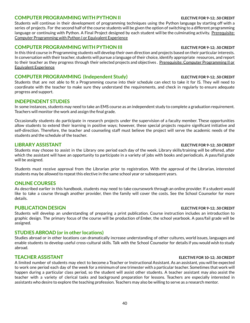### **COMPUTER PROGRAMMING WITH PYTHON II ELECTIVE FOR 9-12; .50 CREDIT**

Students will continue in their development of programming techniques using the Python language by starting off with a series of projects. For the second half of the course students will be given the option of switching to a different programming language or continuing with Python. A Final Project designed by each student will be the culminating activity. Prerequisite: Computer Programming with Python I or Equivalent Experience

### **COMPUTER PROGRAMMING WITH PYTHON III ELECTIVE FOR 9-12; .50 CREDIT**

In this third course in Programming students will develop their own direction and projects based on their particular interests. In conversation with their teacher, students will pursue a language of their choice, identify appropriate resources, and report to their teacher as they progress through their selected projects and objectives. Prerequisite: Computer Programming II or Equivalent Experience

### **COMPUTER PROGRAMMING (Independent Study) ELECTIVE FOR 9-12; .50 CREDIT**

Students that are not able to fit a Programming course into their schedule can elect to take it for IS. They will need to coordinate with the teacher to make sure they understand the requirements, and check in regularly to ensure adequate progress and support.

### **INDEPENDENT STUDIES**

In some instances, students may need to take an EMS course as an independent study to complete a graduation requirement. Teachers will monitor the work and assign the final grade.

Occasionally students do participate in research projects under the supervision of a faculty member. These opportunities allow students to extend their learning in positive ways; however, these special projects require significant initiative and self-direction. Therefore, the teacher and counseling staff must believe the project will serve the academic needs of the students and the schedule of the teacher.

Students may choose to assist in the Library one period each day of the week. Library skills/training will be offered, after which the assistant will have an opportunity to participate in a variety of jobs with books and periodicals. A pass/fail grade will be assigned.

Students must receive approval from the Librarian prior to registration. With the approval of the Librarian, interested students may be allowed to repeat this elective in the same school year or subsequent years.

### **ONLINE COURSES**

As described earlier in this handbook, students may need to take coursework through an online provider. If a student would like to take a course through another provider, then the family will cover the costs. See the School Counselor for more details.

### **PUBLICATION DESIGN ELECTIVE FOR 9-12; .50 CREDIT**

Students will develop an understanding of preparing a print publication. Course instruction includes an introduction to graphic design. The primary focus of the course will be production of *Ember*, the school yearbook. A pass/fail grade will be assigned.

### **STUDIES ABROAD (or in other locations)**

Studies abroad or in other locations can dramatically increase understanding of other cultures, world issues, languages and enable students to develop useful cross-cultural skills. Talk with the School Counselor for details if you would wish to study abroad.

### **TEACHER ASSISTANT ELECTIVE FOR 10-12; .50 CREDIT**

A limited number of students may elect to become a Teacher or Instructional Assistant. As an assistant, you will be expected to work one period each day of the week for a minimum of one trimester with a particular teacher. Sometimes that work will happen during a particular class period, so the student will assist other students. A teacher assistant may also assist the teacher with a variety of clerical tasks and background preparation for lessons. Teachers are especially interested in assistants who desire to explore the teaching profession. Teachers may also be willing to serve as a research mentor.

### **LIBRARY ASSISTANT ELECTIVE FOR 9-12; .50 CREDIT**